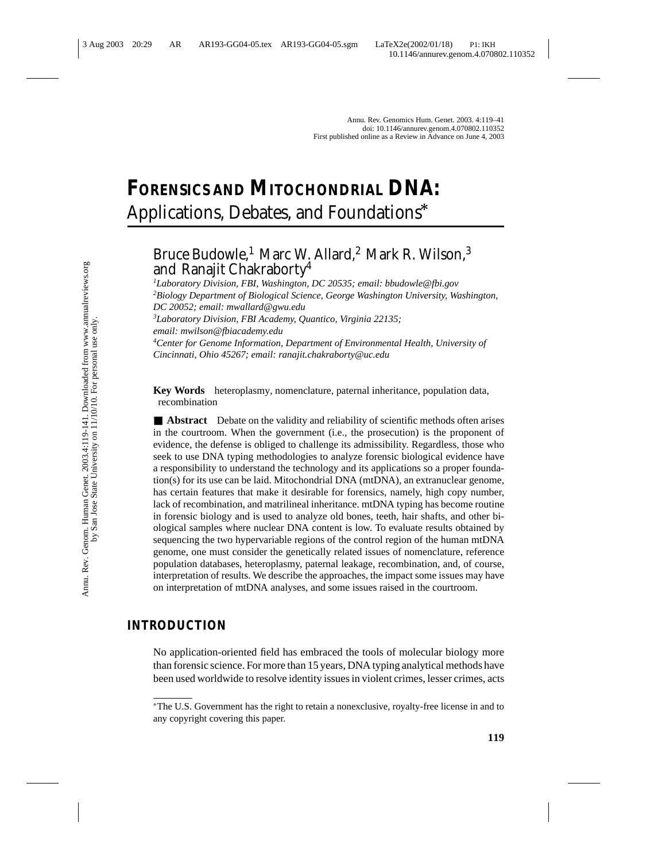# **FORENSICS AND MITOCHONDRIAL DNA:** Applications, Debates, and Foundations*∗*

# Bruce Budowle,<sup>1</sup> Marc W. Allard,<sup>2</sup> Mark R. Wilson,<sup>3</sup> and Ranajit Chakraborty4

*1 Laboratory Division, FBI, Washington, DC 20535; email: bbudowle@fbi.gov 2 Biology Department of Biological Science, George Washington University, Washington, DC 20052; email: mwallard@gwu.edu*

*3 Laboratory Division, FBI Academy, Quantico, Virginia 22135; email: mwilson@fbiacademy.edu*

*4 Center for Genome Information, Department of Environmental Health, University of Cincinnati, Ohio 45267; email: ranajit.chakraborty@uc.edu*

**Key Words** heteroplasmy, nomenclature, paternal inheritance, population data, recombination

■ **Abstract** Debate on the validity and reliability of scientific methods often arises in the courtroom. When the government (i.e., the prosecution) is the proponent of evidence, the defense is obliged to challenge its admissibility. Regardless, those who seek to use DNA typing methodologies to analyze forensic biological evidence have a responsibility to understand the technology and its applications so a proper foundation(s) for its use can be laid. Mitochondrial DNA (mtDNA), an extranuclear genome, has certain features that make it desirable for forensics, namely, high copy number, lack of recombination, and matrilineal inheritance. mtDNA typing has become routine in forensic biology and is used to analyze old bones, teeth, hair shafts, and other biological samples where nuclear DNA content is low. To evaluate results obtained by sequencing the two hypervariable regions of the control region of the human mtDNA genome, one must consider the genetically related issues of nomenclature, reference population databases, heteroplasmy, paternal leakage, recombination, and, of course, interpretation of results. We describe the approaches, the impact some issues may have on interpretation of mtDNA analyses, and some issues raised in the courtroom.

# **INTRODUCTION**

No application-oriented field has embraced the tools of molecular biology more than forensic science. For more than 15 years, DNA typing analytical methods have been used worldwide to resolve identity issues in violent crimes, lesser crimes, acts

<sup>∗</sup>The U.S. Government has the right to retain a nonexclusive, royalty-free license in and to any copyright covering this paper.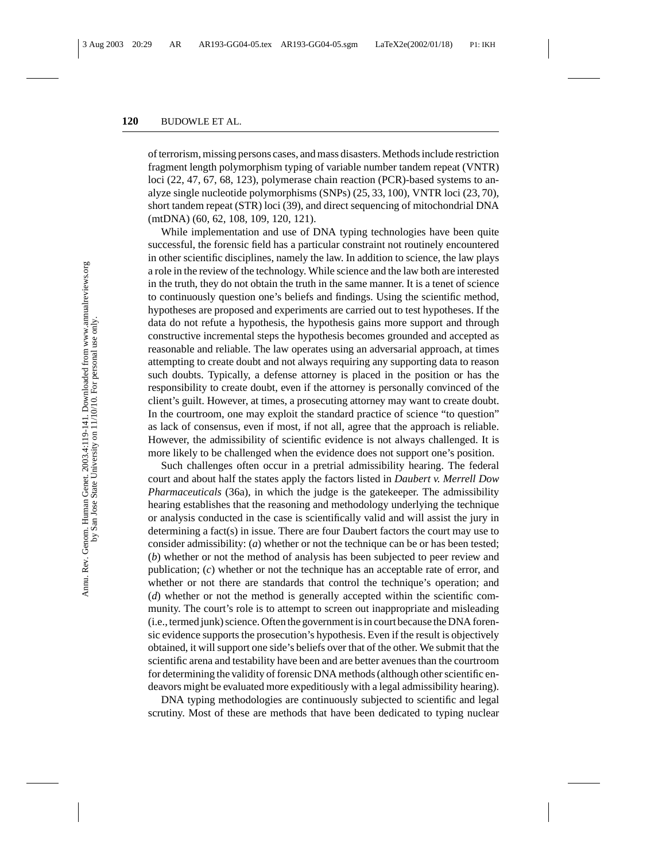of terrorism, missing persons cases, and mass disasters. Methods include restriction fragment length polymorphism typing of variable number tandem repeat (VNTR) loci (22, 47, 67, 68, 123), polymerase chain reaction (PCR)-based systems to analyze single nucleotide polymorphisms (SNPs) (25, 33, 100), VNTR loci (23, 70), short tandem repeat (STR) loci (39), and direct sequencing of mitochondrial DNA (mtDNA) (60, 62, 108, 109, 120, 121).

While implementation and use of DNA typing technologies have been quite successful, the forensic field has a particular constraint not routinely encountered in other scientific disciplines, namely the law. In addition to science, the law plays a role in the review of the technology. While science and the law both are interested in the truth, they do not obtain the truth in the same manner. It is a tenet of science to continuously question one's beliefs and findings. Using the scientific method, hypotheses are proposed and experiments are carried out to test hypotheses. If the data do not refute a hypothesis, the hypothesis gains more support and through constructive incremental steps the hypothesis becomes grounded and accepted as reasonable and reliable. The law operates using an adversarial approach, at times attempting to create doubt and not always requiring any supporting data to reason such doubts. Typically, a defense attorney is placed in the position or has the responsibility to create doubt, even if the attorney is personally convinced of the client's guilt. However, at times, a prosecuting attorney may want to create doubt. In the courtroom, one may exploit the standard practice of science "to question" as lack of consensus, even if most, if not all, agree that the approach is reliable. However, the admissibility of scientific evidence is not always challenged. It is more likely to be challenged when the evidence does not support one's position.

Such challenges often occur in a pretrial admissibility hearing. The federal court and about half the states apply the factors listed in *Daubert v. Merrell Dow Pharmaceuticals* (36a), in which the judge is the gatekeeper. The admissibility hearing establishes that the reasoning and methodology underlying the technique or analysis conducted in the case is scientifically valid and will assist the jury in determining a fact(s) in issue. There are four Daubert factors the court may use to consider admissibility: (*a*) whether or not the technique can be or has been tested; (*b*) whether or not the method of analysis has been subjected to peer review and publication; (*c*) whether or not the technique has an acceptable rate of error, and whether or not there are standards that control the technique's operation; and (*d*) whether or not the method is generally accepted within the scientific community. The court's role is to attempt to screen out inappropriate and misleading (i.e., termed junk) science. Often the government is in court because the DNA forensic evidence supports the prosecution's hypothesis. Even if the result is objectively obtained, it will support one side's beliefs over that of the other. We submit that the scientific arena and testability have been and are better avenues than the courtroom for determining the validity of forensic DNA methods (although other scientific endeavors might be evaluated more expeditiously with a legal admissibility hearing).

DNA typing methodologies are continuously subjected to scientific and legal scrutiny. Most of these are methods that have been dedicated to typing nuclear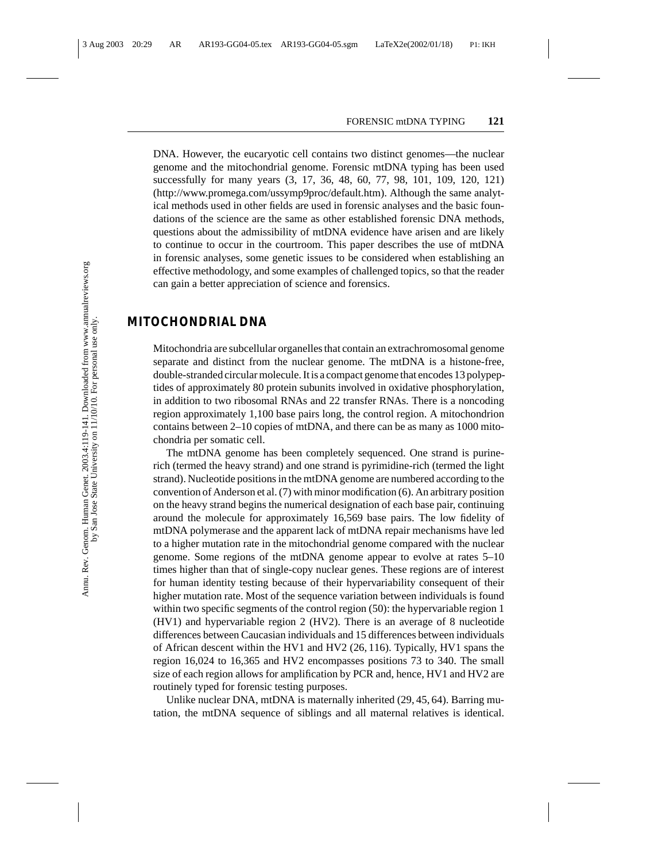DNA. However, the eucaryotic cell contains two distinct genomes—the nuclear genome and the mitochondrial genome. Forensic mtDNA typing has been used successfully for many years (3, 17, 36, 48, 60, 77, 98, 101, 109, 120, 121) (http://www.promega.com/ussymp9proc/default.htm). Although the same analytical methods used in other fields are used in forensic analyses and the basic foundations of the science are the same as other established forensic DNA methods, questions about the admissibility of mtDNA evidence have arisen and are likely to continue to occur in the courtroom. This paper describes the use of mtDNA in forensic analyses, some genetic issues to be considered when establishing an effective methodology, and some examples of challenged topics, so that the reader can gain a better appreciation of science and forensics.

## **MITOCHONDRIAL DNA**

Mitochondria are subcellular organelles that contain an extrachromosomal genome separate and distinct from the nuclear genome. The mtDNA is a histone-free, double-stranded circular molecule. It is a compact genome that encodes 13 polypeptides of approximately 80 protein subunits involved in oxidative phosphorylation, in addition to two ribosomal RNAs and 22 transfer RNAs. There is a noncoding region approximately 1,100 base pairs long, the control region. A mitochondrion contains between 2–10 copies of mtDNA, and there can be as many as 1000 mitochondria per somatic cell.

The mtDNA genome has been completely sequenced. One strand is purinerich (termed the heavy strand) and one strand is pyrimidine-rich (termed the light strand). Nucleotide positions in the mtDNA genome are numbered according to the convention of Anderson et al. (7) with minor modification (6). An arbitrary position on the heavy strand begins the numerical designation of each base pair, continuing around the molecule for approximately 16,569 base pairs. The low fidelity of mtDNA polymerase and the apparent lack of mtDNA repair mechanisms have led to a higher mutation rate in the mitochondrial genome compared with the nuclear genome. Some regions of the mtDNA genome appear to evolve at rates 5–10 times higher than that of single-copy nuclear genes. These regions are of interest for human identity testing because of their hypervariability consequent of their higher mutation rate. Most of the sequence variation between individuals is found within two specific segments of the control region (50): the hypervariable region 1 (HV1) and hypervariable region 2 (HV2). There is an average of 8 nucleotide differences between Caucasian individuals and 15 differences between individuals of African descent within the HV1 and HV2 (26, 116). Typically, HV1 spans the region 16,024 to 16,365 and HV2 encompasses positions 73 to 340. The small size of each region allows for amplification by PCR and, hence, HV1 and HV2 are routinely typed for forensic testing purposes.

Unlike nuclear DNA, mtDNA is maternally inherited (29, 45, 64). Barring mutation, the mtDNA sequence of siblings and all maternal relatives is identical.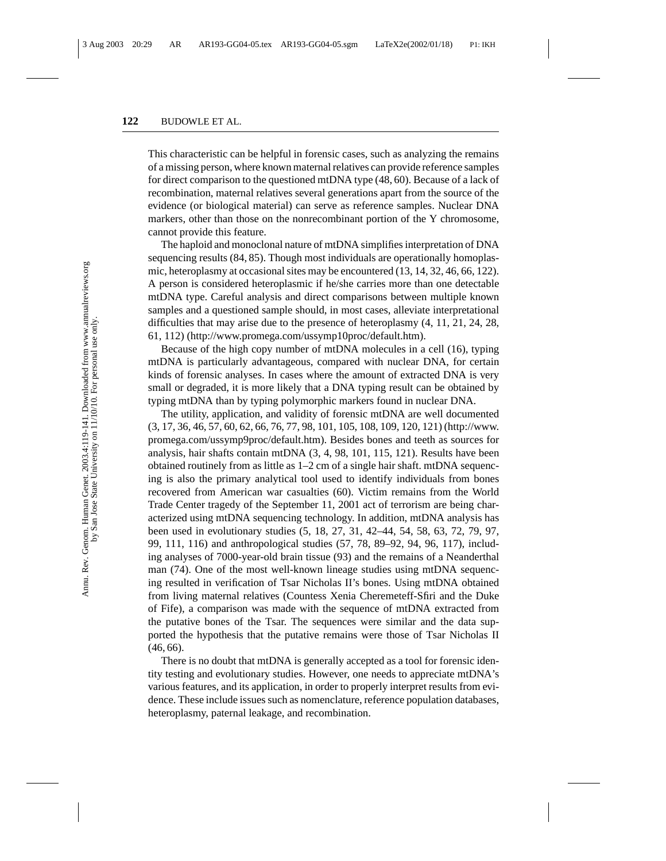This characteristic can be helpful in forensic cases, such as analyzing the remains of a missing person, where known maternal relatives can provide reference samples for direct comparison to the questioned mtDNA type (48, 60). Because of a lack of recombination, maternal relatives several generations apart from the source of the evidence (or biological material) can serve as reference samples. Nuclear DNA markers, other than those on the nonrecombinant portion of the Y chromosome, cannot provide this feature.

The haploid and monoclonal nature of mtDNA simplifies interpretation of DNA sequencing results (84, 85). Though most individuals are operationally homoplasmic, heteroplasmy at occasional sites may be encountered (13, 14, 32, 46, 66, 122). A person is considered heteroplasmic if he/she carries more than one detectable mtDNA type. Careful analysis and direct comparisons between multiple known samples and a questioned sample should, in most cases, alleviate interpretational difficulties that may arise due to the presence of heteroplasmy (4, 11, 21, 24, 28, 61, 112) (http://www.promega.com/ussymp10proc/default.htm).

Because of the high copy number of mtDNA molecules in a cell (16), typing mtDNA is particularly advantageous, compared with nuclear DNA, for certain kinds of forensic analyses. In cases where the amount of extracted DNA is very small or degraded, it is more likely that a DNA typing result can be obtained by typing mtDNA than by typing polymorphic markers found in nuclear DNA.

The utility, application, and validity of forensic mtDNA are well documented (3, 17, 36, 46, 57, 60, 62, 66, 76, 77, 98, 101, 105, 108, 109, 120, 121) (http://www. promega.com/ussymp9proc/default.htm). Besides bones and teeth as sources for analysis, hair shafts contain mtDNA (3, 4, 98, 101, 115, 121). Results have been obtained routinely from as little as 1–2 cm of a single hair shaft. mtDNA sequencing is also the primary analytical tool used to identify individuals from bones recovered from American war casualties (60). Victim remains from the World Trade Center tragedy of the September 11, 2001 act of terrorism are being characterized using mtDNA sequencing technology. In addition, mtDNA analysis has been used in evolutionary studies (5, 18, 27, 31, 42–44, 54, 58, 63, 72, 79, 97, 99, 111, 116) and anthropological studies (57, 78, 89–92, 94, 96, 117), including analyses of 7000-year-old brain tissue (93) and the remains of a Neanderthal man (74). One of the most well-known lineage studies using mtDNA sequencing resulted in verification of Tsar Nicholas II's bones. Using mtDNA obtained from living maternal relatives (Countess Xenia Cheremeteff-Sfiri and the Duke of Fife), a comparison was made with the sequence of mtDNA extracted from the putative bones of the Tsar. The sequences were similar and the data supported the hypothesis that the putative remains were those of Tsar Nicholas II (46, 66).

There is no doubt that mtDNA is generally accepted as a tool for forensic identity testing and evolutionary studies. However, one needs to appreciate mtDNA's various features, and its application, in order to properly interpret results from evidence. These include issues such as nomenclature, reference population databases, heteroplasmy, paternal leakage, and recombination.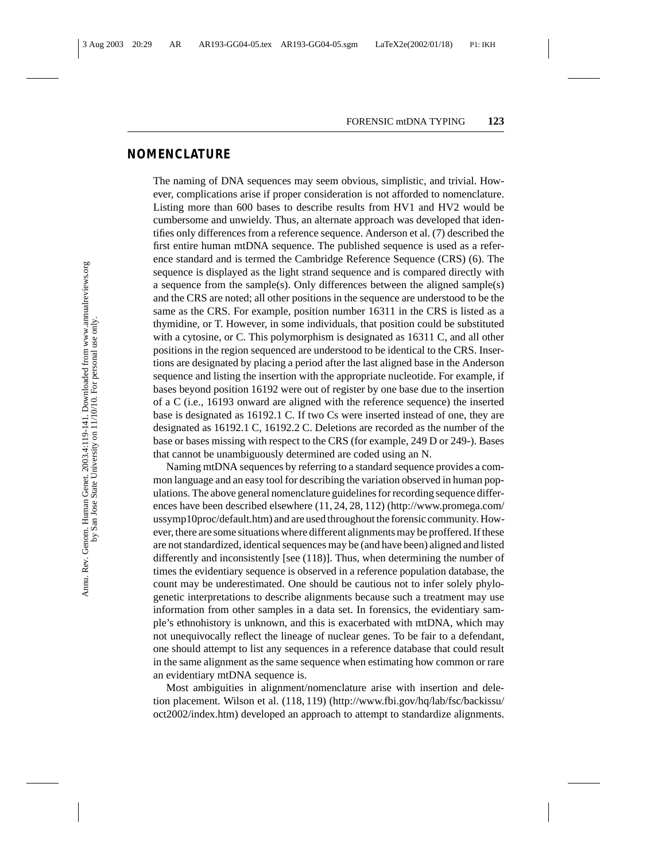# **NOMENCLATURE**

The naming of DNA sequences may seem obvious, simplistic, and trivial. However, complications arise if proper consideration is not afforded to nomenclature. Listing more than 600 bases to describe results from HV1 and HV2 would be cumbersome and unwieldy. Thus, an alternate approach was developed that identifies only differences from a reference sequence. Anderson et al. (7) described the first entire human mtDNA sequence. The published sequence is used as a reference standard and is termed the Cambridge Reference Sequence (CRS) (6). The sequence is displayed as the light strand sequence and is compared directly with a sequence from the sample(s). Only differences between the aligned sample(s) and the CRS are noted; all other positions in the sequence are understood to be the same as the CRS. For example, position number 16311 in the CRS is listed as a thymidine, or T. However, in some individuals, that position could be substituted with a cytosine, or C. This polymorphism is designated as 16311 C, and all other positions in the region sequenced are understood to be identical to the CRS. Insertions are designated by placing a period after the last aligned base in the Anderson sequence and listing the insertion with the appropriate nucleotide. For example, if bases beyond position 16192 were out of register by one base due to the insertion of a C (i.e., 16193 onward are aligned with the reference sequence) the inserted base is designated as 16192.1 C. If two Cs were inserted instead of one, they are designated as 16192.1 C, 16192.2 C. Deletions are recorded as the number of the base or bases missing with respect to the CRS (for example, 249 D or 249-). Bases that cannot be unambiguously determined are coded using an N.

Naming mtDNA sequences by referring to a standard sequence provides a common language and an easy tool for describing the variation observed in human populations. The above general nomenclature guidelines for recording sequence differences have been described elsewhere (11, 24, 28, 112) (http://www.promega.com/ ussymp10proc/default.htm) and are used throughout the forensic community. However, there are some situations where different alignments may be proffered. If these are not standardized, identical sequences may be (and have been) aligned and listed differently and inconsistently [see (118)]. Thus, when determining the number of times the evidentiary sequence is observed in a reference population database, the count may be underestimated. One should be cautious not to infer solely phylogenetic interpretations to describe alignments because such a treatment may use information from other samples in a data set. In forensics, the evidentiary sample's ethnohistory is unknown, and this is exacerbated with mtDNA, which may not unequivocally reflect the lineage of nuclear genes. To be fair to a defendant, one should attempt to list any sequences in a reference database that could result in the same alignment as the same sequence when estimating how common or rare an evidentiary mtDNA sequence is.

Most ambiguities in alignment/nomenclature arise with insertion and deletion placement. Wilson et al. (118, 119) (http://www.fbi.gov/hq/lab/fsc/backissu/ oct2002/index.htm) developed an approach to attempt to standardize alignments.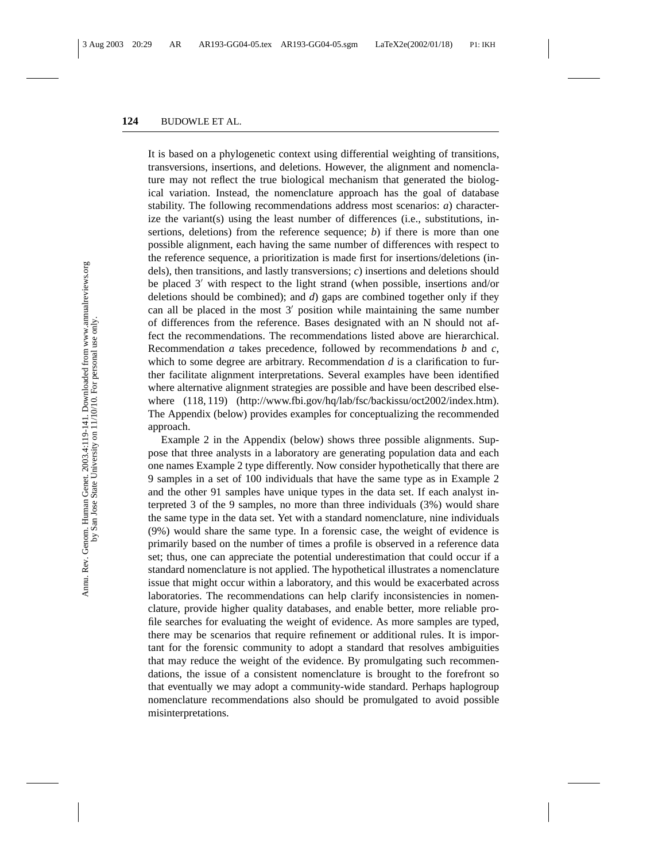It is based on a phylogenetic context using differential weighting of transitions, transversions, insertions, and deletions. However, the alignment and nomenclature may not reflect the true biological mechanism that generated the biological variation. Instead, the nomenclature approach has the goal of database stability. The following recommendations address most scenarios: *a*) characterize the variant(s) using the least number of differences (i.e., substitutions, insertions, deletions) from the reference sequence; *b*) if there is more than one possible alignment, each having the same number of differences with respect to the reference sequence, a prioritization is made first for insertions/deletions (indels), then transitions, and lastly transversions; *c*) insertions and deletions should be placed  $3'$  with respect to the light strand (when possible, insertions and/or deletions should be combined); and *d*) gaps are combined together only if they can all be placed in the most  $3'$  position while maintaining the same number of differences from the reference. Bases designated with an N should not affect the recommendations. The recommendations listed above are hierarchical. Recommendation *a* takes precedence, followed by recommendations *b* and *c*, which to some degree are arbitrary. Recommendation *d* is a clarification to further facilitate alignment interpretations. Several examples have been identified where alternative alignment strategies are possible and have been described elsewhere  $(118, 119)$  (http://www.fbi.gov/hq/lab/fsc/backissu/oct2002/index.htm). The Appendix (below) provides examples for conceptualizing the recommended approach.

Example 2 in the Appendix (below) shows three possible alignments. Suppose that three analysts in a laboratory are generating population data and each one names Example 2 type differently. Now consider hypothetically that there are 9 samples in a set of 100 individuals that have the same type as in Example 2 and the other 91 samples have unique types in the data set. If each analyst interpreted 3 of the 9 samples, no more than three individuals (3%) would share the same type in the data set. Yet with a standard nomenclature, nine individuals (9%) would share the same type. In a forensic case, the weight of evidence is primarily based on the number of times a profile is observed in a reference data set; thus, one can appreciate the potential underestimation that could occur if a standard nomenclature is not applied. The hypothetical illustrates a nomenclature issue that might occur within a laboratory, and this would be exacerbated across laboratories. The recommendations can help clarify inconsistencies in nomenclature, provide higher quality databases, and enable better, more reliable profile searches for evaluating the weight of evidence. As more samples are typed, there may be scenarios that require refinement or additional rules. It is important for the forensic community to adopt a standard that resolves ambiguities that may reduce the weight of the evidence. By promulgating such recommendations, the issue of a consistent nomenclature is brought to the forefront so that eventually we may adopt a community-wide standard. Perhaps haplogroup nomenclature recommendations also should be promulgated to avoid possible misinterpretations.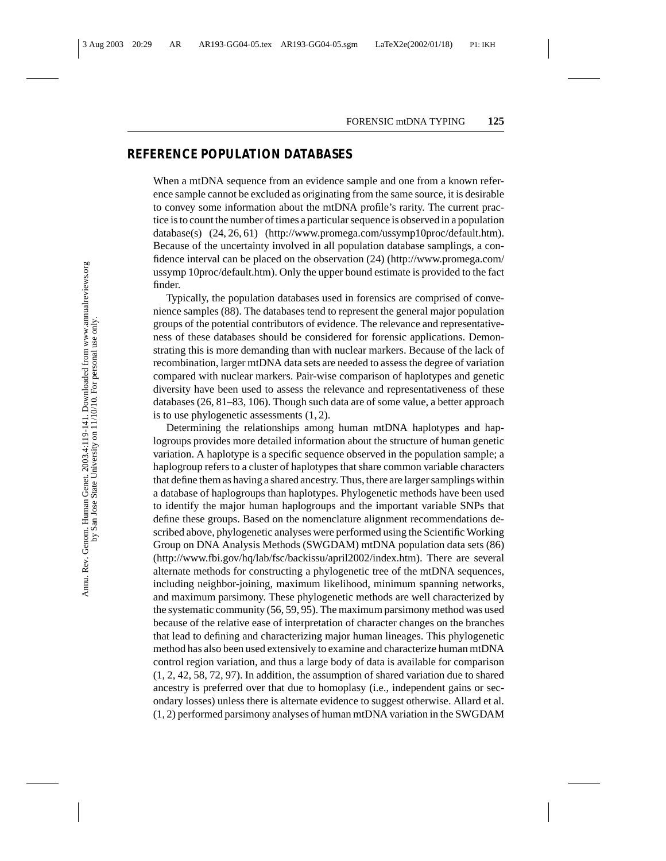# **REFERENCE POPULATION DATABASES**

When a mtDNA sequence from an evidence sample and one from a known reference sample cannot be excluded as originating from the same source, it is desirable to convey some information about the mtDNA profile's rarity. The current practice is to count the number of times a particular sequence is observed in a population database(s) (24, 26, 61) (http://www.promega.com/ussymp10proc/default.htm). Because of the uncertainty involved in all population database samplings, a confidence interval can be placed on the observation (24) (http://www.promega.com/ ussymp 10proc/default.htm). Only the upper bound estimate is provided to the fact finder.

Typically, the population databases used in forensics are comprised of convenience samples (88). The databases tend to represent the general major population groups of the potential contributors of evidence. The relevance and representativeness of these databases should be considered for forensic applications. Demonstrating this is more demanding than with nuclear markers. Because of the lack of recombination, larger mtDNA data sets are needed to assess the degree of variation compared with nuclear markers. Pair-wise comparison of haplotypes and genetic diversity have been used to assess the relevance and representativeness of these databases (26, 81–83, 106). Though such data are of some value, a better approach is to use phylogenetic assessments (1, 2).

Determining the relationships among human mtDNA haplotypes and haplogroups provides more detailed information about the structure of human genetic variation. A haplotype is a specific sequence observed in the population sample; a haplogroup refers to a cluster of haplotypes that share common variable characters that define them as having a shared ancestry. Thus, there are larger samplings within a database of haplogroups than haplotypes. Phylogenetic methods have been used to identify the major human haplogroups and the important variable SNPs that define these groups. Based on the nomenclature alignment recommendations described above, phylogenetic analyses were performed using the Scientific Working Group on DNA Analysis Methods (SWGDAM) mtDNA population data sets (86) (http://www.fbi.gov/hq/lab/fsc/backissu/april2002/index.htm). There are several alternate methods for constructing a phylogenetic tree of the mtDNA sequences, including neighbor-joining, maximum likelihood, minimum spanning networks, and maximum parsimony. These phylogenetic methods are well characterized by the systematic community (56, 59, 95). The maximum parsimony method was used because of the relative ease of interpretation of character changes on the branches that lead to defining and characterizing major human lineages. This phylogenetic method has also been used extensively to examine and characterize human mtDNA control region variation, and thus a large body of data is available for comparison (1, 2, 42, 58, 72, 97). In addition, the assumption of shared variation due to shared ancestry is preferred over that due to homoplasy (i.e., independent gains or secondary losses) unless there is alternate evidence to suggest otherwise. Allard et al. (1, 2) performed parsimony analyses of human mtDNA variation in the SWGDAM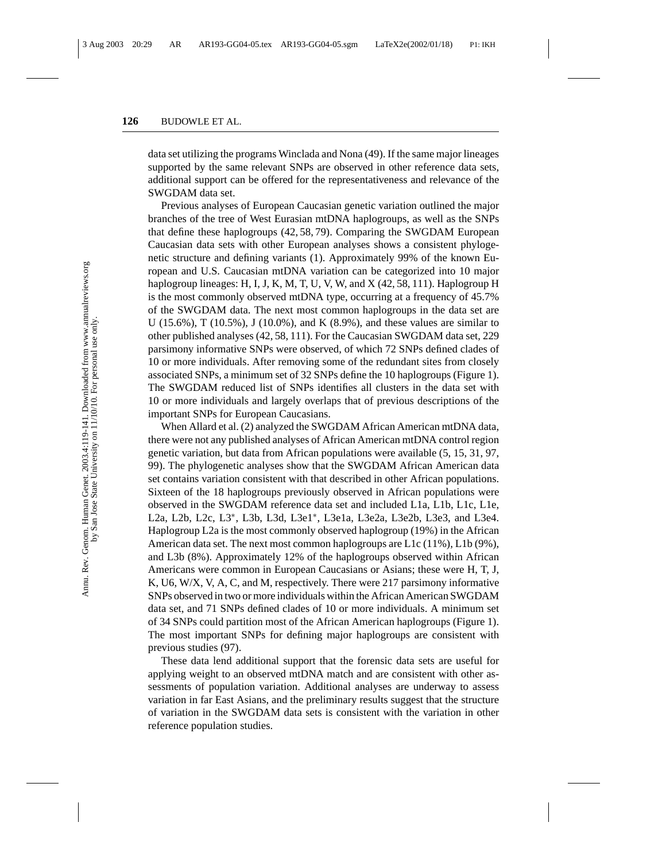data set utilizing the programs Winclada and Nona (49). If the same major lineages supported by the same relevant SNPs are observed in other reference data sets, additional support can be offered for the representativeness and relevance of the SWGDAM data set.

Previous analyses of European Caucasian genetic variation outlined the major branches of the tree of West Eurasian mtDNA haplogroups, as well as the SNPs that define these haplogroups (42, 58, 79). Comparing the SWGDAM European Caucasian data sets with other European analyses shows a consistent phylogenetic structure and defining variants (1). Approximately 99% of the known European and U.S. Caucasian mtDNA variation can be categorized into 10 major haplogroup lineages: H, I, J, K, M, T, U, V, W, and X (42, 58, 111). Haplogroup H is the most commonly observed mtDNA type, occurring at a frequency of 45.7% of the SWGDAM data. The next most common haplogroups in the data set are U (15.6%), T (10.5%), J (10.0%), and K (8.9%), and these values are similar to other published analyses (42, 58, 111). For the Caucasian SWGDAM data set, 229 parsimony informative SNPs were observed, of which 72 SNPs defined clades of 10 or more individuals. After removing some of the redundant sites from closely associated SNPs, a minimum set of 32 SNPs define the 10 haplogroups (Figure 1). The SWGDAM reduced list of SNPs identifies all clusters in the data set with 10 or more individuals and largely overlaps that of previous descriptions of the important SNPs for European Caucasians.

When Allard et al. (2) analyzed the SWGDAM African American mtDNA data, there were not any published analyses of African American mtDNA control region genetic variation, but data from African populations were available (5, 15, 31, 97, 99). The phylogenetic analyses show that the SWGDAM African American data set contains variation consistent with that described in other African populations. Sixteen of the 18 haplogroups previously observed in African populations were observed in the SWGDAM reference data set and included L1a, L1b, L1c, L1e, L2a, L2b, L2c, L3∗, L3b, L3d, L3e1∗, L3e1a, L3e2a, L3e2b, L3e3, and L3e4. Haplogroup L2a is the most commonly observed haplogroup (19%) in the African American data set. The next most common haplogroups are L1c (11%), L1b (9%), and L3b (8%). Approximately 12% of the haplogroups observed within African Americans were common in European Caucasians or Asians; these were H, T, J, K, U6, W/X, V, A, C, and M, respectively. There were 217 parsimony informative SNPs observed in two or more individuals within the African American SWGDAM data set, and 71 SNPs defined clades of 10 or more individuals. A minimum set of 34 SNPs could partition most of the African American haplogroups (Figure 1). The most important SNPs for defining major haplogroups are consistent with previous studies (97).

These data lend additional support that the forensic data sets are useful for applying weight to an observed mtDNA match and are consistent with other assessments of population variation. Additional analyses are underway to assess variation in far East Asians, and the preliminary results suggest that the structure of variation in the SWGDAM data sets is consistent with the variation in other reference population studies.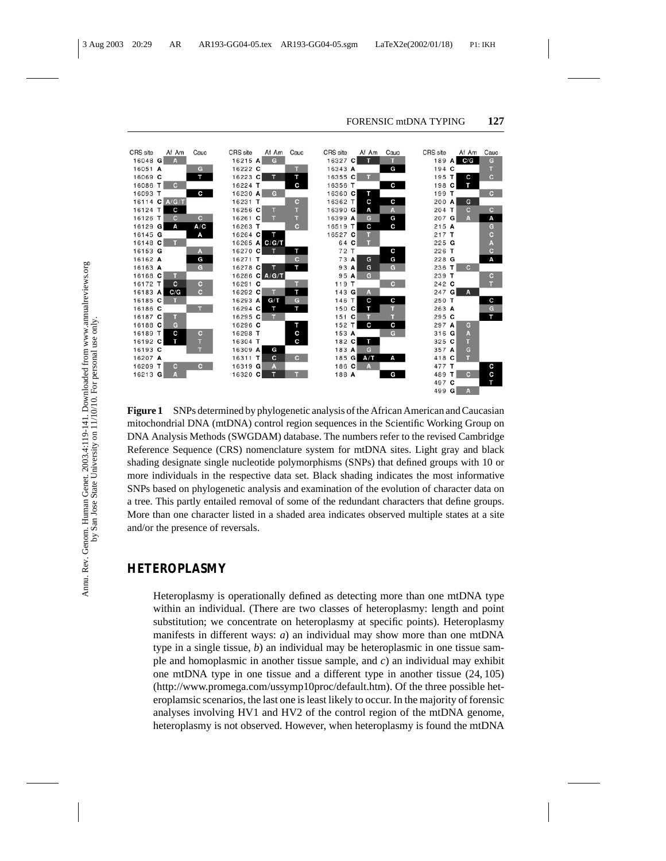

**Figure 1** SNPs determined by phylogenetic analysis of the African American and Caucasian mitochondrial DNA (mtDNA) control region sequences in the Scientific Working Group on DNA Analysis Methods (SWGDAM) database. The numbers refer to the revised Cambridge Reference Sequence (CRS) nomenclature system for mtDNA sites. Light gray and black shading designate single nucleotide polymorphisms (SNPs) that defined groups with 10 or more individuals in the respective data set. Black shading indicates the most informative SNPs based on phylogenetic analysis and examination of the evolution of character data on a tree. This partly entailed removal of some of the redundant characters that define groups. More than one character listed in a shaded area indicates observed multiple states at a site and/or the presence of reversals.

# **HETEROPLASMY**

Heteroplasmy is operationally defined as detecting more than one mtDNA type within an individual. (There are two classes of heteroplasmy: length and point substitution; we concentrate on heteroplasmy at specific points). Heteroplasmy manifests in different ways: *a*) an individual may show more than one mtDNA type in a single tissue, *b*) an individual may be heteroplasmic in one tissue sample and homoplasmic in another tissue sample, and *c*) an individual may exhibit one mtDNA type in one tissue and a different type in another tissue (24, 105) (http://www.promega.com/ussymp10proc/default.htm). Of the three possible heteroplamsic scenarios, the last one is least likely to occur. In the majority of forensic analyses involving HV1 and HV2 of the control region of the mtDNA genome, heteroplasmy is not observed. However, when heteroplasmy is found the mtDNA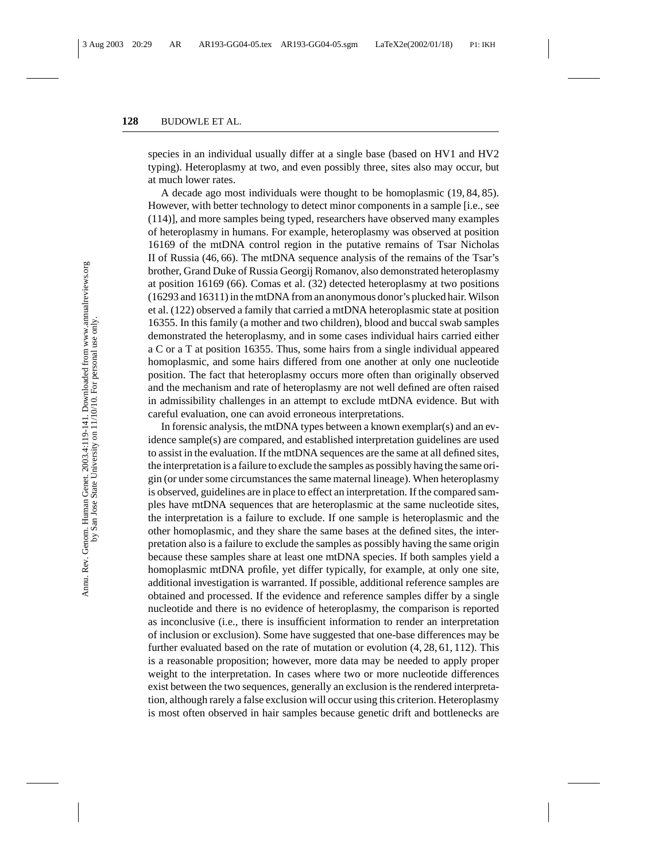species in an individual usually differ at a single base (based on HV1 and HV2 typing). Heteroplasmy at two, and even possibly three, sites also may occur, but at much lower rates.

A decade ago most individuals were thought to be homoplasmic (19, 84, 85). However, with better technology to detect minor components in a sample [i.e., see (114)], and more samples being typed, researchers have observed many examples of heteroplasmy in humans. For example, heteroplasmy was observed at position 16169 of the mtDNA control region in the putative remains of Tsar Nicholas II of Russia (46, 66). The mtDNA sequence analysis of the remains of the Tsar's brother, Grand Duke of Russia Georgij Romanov, also demonstrated heteroplasmy at position 16169 (66). Comas et al. (32) detected heteroplasmy at two positions (16293 and 16311) in the mtDNA from an anonymous donor's plucked hair. Wilson et al. (122) observed a family that carried a mtDNA heteroplasmic state at position 16355. In this family (a mother and two children), blood and buccal swab samples demonstrated the heteroplasmy, and in some cases individual hairs carried either a C or a T at position 16355. Thus, some hairs from a single individual appeared homoplasmic, and some hairs differed from one another at only one nucleotide position. The fact that heteroplasmy occurs more often than originally observed and the mechanism and rate of heteroplasmy are not well defined are often raised in admissibility challenges in an attempt to exclude mtDNA evidence. But with careful evaluation, one can avoid erroneous interpretations.

In forensic analysis, the mtDNA types between a known exemplar(s) and an evidence sample(s) are compared, and established interpretation guidelines are used to assist in the evaluation. If the mtDNA sequences are the same at all defined sites, the interpretation is a failure to exclude the samples as possibly having the same origin (or under some circumstances the same maternal lineage). When heteroplasmy is observed, guidelines are in place to effect an interpretation. If the compared samples have mtDNA sequences that are heteroplasmic at the same nucleotide sites, the interpretation is a failure to exclude. If one sample is heteroplasmic and the other homoplasmic, and they share the same bases at the defined sites, the interpretation also is a failure to exclude the samples as possibly having the same origin because these samples share at least one mtDNA species. If both samples yield a homoplasmic mtDNA profile, yet differ typically, for example, at only one site, additional investigation is warranted. If possible, additional reference samples are obtained and processed. If the evidence and reference samples differ by a single nucleotide and there is no evidence of heteroplasmy, the comparison is reported as inconclusive (i.e., there is insufficient information to render an interpretation of inclusion or exclusion). Some have suggested that one-base differences may be further evaluated based on the rate of mutation or evolution (4, 28, 61, 112). This is a reasonable proposition; however, more data may be needed to apply proper weight to the interpretation. In cases where two or more nucleotide differences exist between the two sequences, generally an exclusion is the rendered interpretation, although rarely a false exclusion will occur using this criterion. Heteroplasmy is most often observed in hair samples because genetic drift and bottlenecks are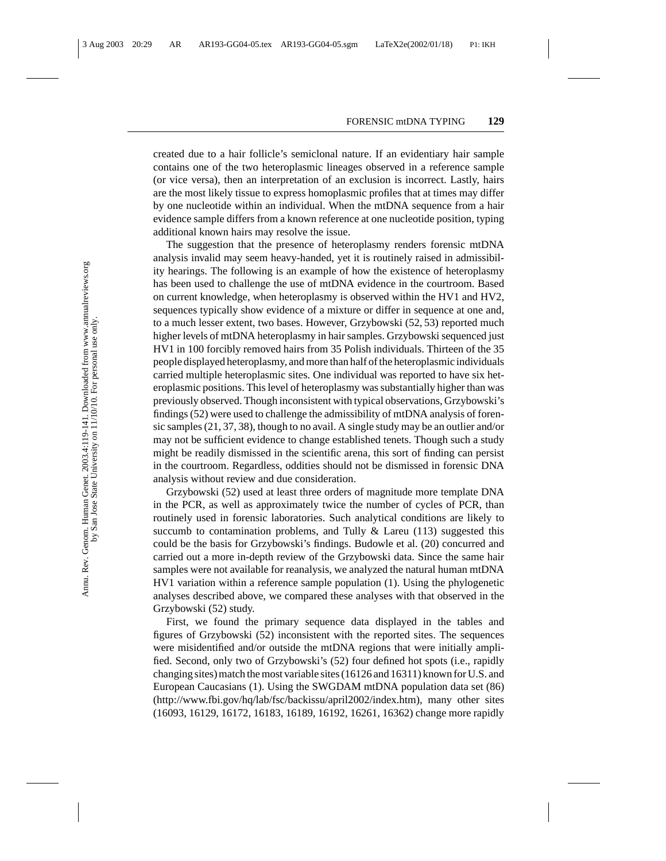created due to a hair follicle's semiclonal nature. If an evidentiary hair sample contains one of the two heteroplasmic lineages observed in a reference sample (or vice versa), then an interpretation of an exclusion is incorrect. Lastly, hairs are the most likely tissue to express homoplasmic profiles that at times may differ by one nucleotide within an individual. When the mtDNA sequence from a hair evidence sample differs from a known reference at one nucleotide position, typing additional known hairs may resolve the issue.

The suggestion that the presence of heteroplasmy renders forensic mtDNA analysis invalid may seem heavy-handed, yet it is routinely raised in admissibility hearings. The following is an example of how the existence of heteroplasmy has been used to challenge the use of mtDNA evidence in the courtroom. Based on current knowledge, when heteroplasmy is observed within the HV1 and HV2, sequences typically show evidence of a mixture or differ in sequence at one and, to a much lesser extent, two bases. However, Grzybowski (52, 53) reported much higher levels of mtDNA heteroplasmy in hair samples. Grzybowski sequenced just HV1 in 100 forcibly removed hairs from 35 Polish individuals. Thirteen of the 35 people displayed heteroplasmy, and more than half of the heteroplasmic individuals carried multiple heteroplasmic sites. One individual was reported to have six heteroplasmic positions. This level of heteroplasmy was substantially higher than was previously observed. Though inconsistent with typical observations, Grzybowski's findings (52) were used to challenge the admissibility of mtDNA analysis of forensic samples (21, 37, 38), though to no avail. A single study may be an outlier and/or may not be sufficient evidence to change established tenets. Though such a study might be readily dismissed in the scientific arena, this sort of finding can persist in the courtroom. Regardless, oddities should not be dismissed in forensic DNA analysis without review and due consideration.

Grzybowski (52) used at least three orders of magnitude more template DNA in the PCR, as well as approximately twice the number of cycles of PCR, than routinely used in forensic laboratories. Such analytical conditions are likely to succumb to contamination problems, and Tully  $\&$  Lareu (113) suggested this could be the basis for Grzybowski's findings. Budowle et al. (20) concurred and carried out a more in-depth review of the Grzybowski data. Since the same hair samples were not available for reanalysis, we analyzed the natural human mtDNA HV1 variation within a reference sample population (1). Using the phylogenetic analyses described above, we compared these analyses with that observed in the Grzybowski (52) study.

First, we found the primary sequence data displayed in the tables and figures of Grzybowski (52) inconsistent with the reported sites. The sequences were misidentified and/or outside the mtDNA regions that were initially amplified. Second, only two of Grzybowski's (52) four defined hot spots (i.e., rapidly changing sites) match the most variable sites (16126 and 16311) known for U.S. and European Caucasians (1). Using the SWGDAM mtDNA population data set (86) (http://www.fbi.gov/hq/lab/fsc/backissu/april2002/index.htm), many other sites (16093, 16129, 16172, 16183, 16189, 16192, 16261, 16362) change more rapidly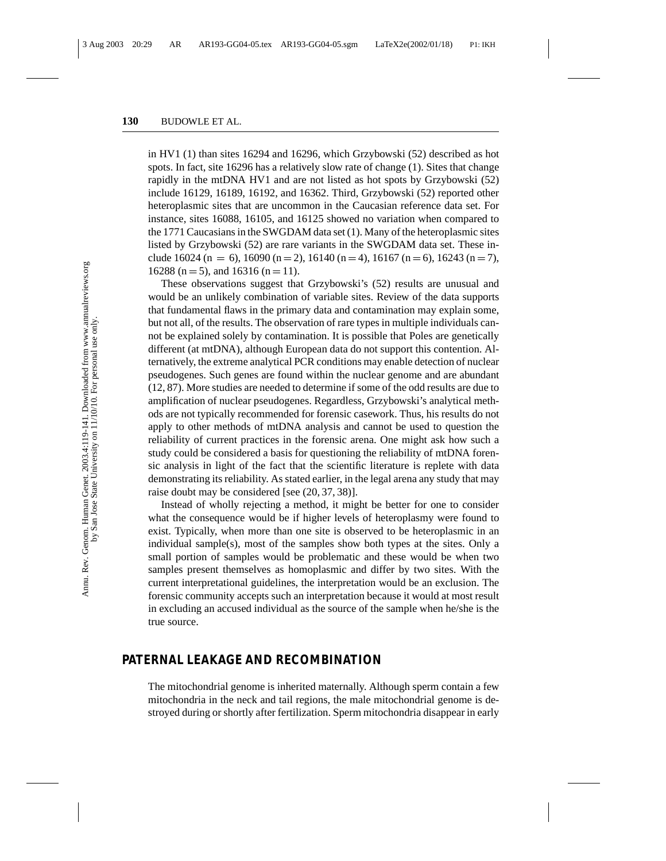in HV1 (1) than sites 16294 and 16296, which Grzybowski (52) described as hot spots. In fact, site 16296 has a relatively slow rate of change (1). Sites that change rapidly in the mtDNA HV1 and are not listed as hot spots by Grzybowski (52) include 16129, 16189, 16192, and 16362. Third, Grzybowski (52) reported other heteroplasmic sites that are uncommon in the Caucasian reference data set. For instance, sites 16088, 16105, and 16125 showed no variation when compared to the 1771 Caucasians in the SWGDAM data set (1). Many of the heteroplasmic sites listed by Grzybowski (52) are rare variants in the SWGDAM data set. These include 16024 (n = 6), 16090 (n = 2), 16140 (n = 4), 16167 (n = 6), 16243 (n = 7), 16288 (n = 5), and 16316 (n = 11).

These observations suggest that Grzybowski's (52) results are unusual and would be an unlikely combination of variable sites. Review of the data supports that fundamental flaws in the primary data and contamination may explain some, but not all, of the results. The observation of rare types in multiple individuals cannot be explained solely by contamination. It is possible that Poles are genetically different (at mtDNA), although European data do not support this contention. Alternatively, the extreme analytical PCR conditions may enable detection of nuclear pseudogenes. Such genes are found within the nuclear genome and are abundant (12, 87). More studies are needed to determine if some of the odd results are due to amplification of nuclear pseudogenes. Regardless, Grzybowski's analytical methods are not typically recommended for forensic casework. Thus, his results do not apply to other methods of mtDNA analysis and cannot be used to question the reliability of current practices in the forensic arena. One might ask how such a study could be considered a basis for questioning the reliability of mtDNA forensic analysis in light of the fact that the scientific literature is replete with data demonstrating its reliability. As stated earlier, in the legal arena any study that may raise doubt may be considered [see (20, 37, 38)].

Instead of wholly rejecting a method, it might be better for one to consider what the consequence would be if higher levels of heteroplasmy were found to exist. Typically, when more than one site is observed to be heteroplasmic in an individual sample(s), most of the samples show both types at the sites. Only a small portion of samples would be problematic and these would be when two samples present themselves as homoplasmic and differ by two sites. With the current interpretational guidelines, the interpretation would be an exclusion. The forensic community accepts such an interpretation because it would at most result in excluding an accused individual as the source of the sample when he/she is the true source.

## **PATERNAL LEAKAGE AND RECOMBINATION**

The mitochondrial genome is inherited maternally. Although sperm contain a few mitochondria in the neck and tail regions, the male mitochondrial genome is destroyed during or shortly after fertilization. Sperm mitochondria disappear in early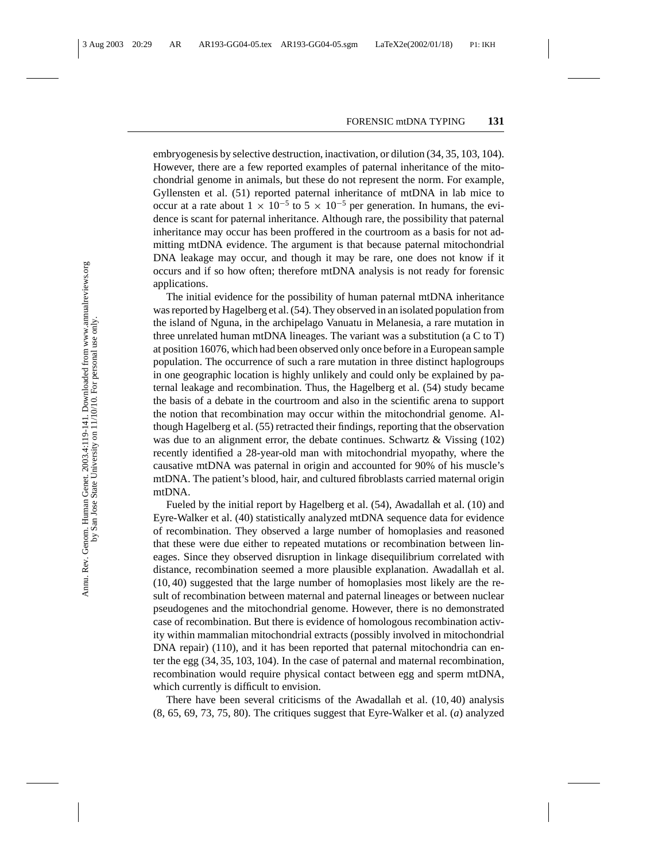embryogenesis by selective destruction, inactivation, or dilution (34, 35, 103, 104). However, there are a few reported examples of paternal inheritance of the mitochondrial genome in animals, but these do not represent the norm. For example, Gyllensten et al. (51) reported paternal inheritance of mtDNA in lab mice to occur at a rate about  $1 \times 10^{-5}$  to  $5 \times 10^{-5}$  per generation. In humans, the evidence is scant for paternal inheritance. Although rare, the possibility that paternal inheritance may occur has been proffered in the courtroom as a basis for not admitting mtDNA evidence. The argument is that because paternal mitochondrial DNA leakage may occur, and though it may be rare, one does not know if it occurs and if so how often; therefore mtDNA analysis is not ready for forensic applications.

The initial evidence for the possibility of human paternal mtDNA inheritance was reported by Hagelberg et al. (54). They observed in an isolated population from the island of Nguna, in the archipelago Vanuatu in Melanesia, a rare mutation in three unrelated human mtDNA lineages. The variant was a substitution (a C to T) at position 16076, which had been observed only once before in a European sample population. The occurrence of such a rare mutation in three distinct haplogroups in one geographic location is highly unlikely and could only be explained by paternal leakage and recombination. Thus, the Hagelberg et al. (54) study became the basis of a debate in the courtroom and also in the scientific arena to support the notion that recombination may occur within the mitochondrial genome. Although Hagelberg et al. (55) retracted their findings, reporting that the observation was due to an alignment error, the debate continues. Schwartz  $\&$  Vissing (102) recently identified a 28-year-old man with mitochondrial myopathy, where the causative mtDNA was paternal in origin and accounted for 90% of his muscle's mtDNA. The patient's blood, hair, and cultured fibroblasts carried maternal origin mtDNA.

Fueled by the initial report by Hagelberg et al. (54), Awadallah et al. (10) and Eyre-Walker et al. (40) statistically analyzed mtDNA sequence data for evidence of recombination. They observed a large number of homoplasies and reasoned that these were due either to repeated mutations or recombination between lineages. Since they observed disruption in linkage disequilibrium correlated with distance, recombination seemed a more plausible explanation. Awadallah et al. (10, 40) suggested that the large number of homoplasies most likely are the result of recombination between maternal and paternal lineages or between nuclear pseudogenes and the mitochondrial genome. However, there is no demonstrated case of recombination. But there is evidence of homologous recombination activity within mammalian mitochondrial extracts (possibly involved in mitochondrial DNA repair) (110), and it has been reported that paternal mitochondria can enter the egg (34, 35, 103, 104). In the case of paternal and maternal recombination, recombination would require physical contact between egg and sperm mtDNA, which currently is difficult to envision.

There have been several criticisms of the Awadallah et al. (10, 40) analysis (8, 65, 69, 73, 75, 80). The critiques suggest that Eyre-Walker et al. (*a*) analyzed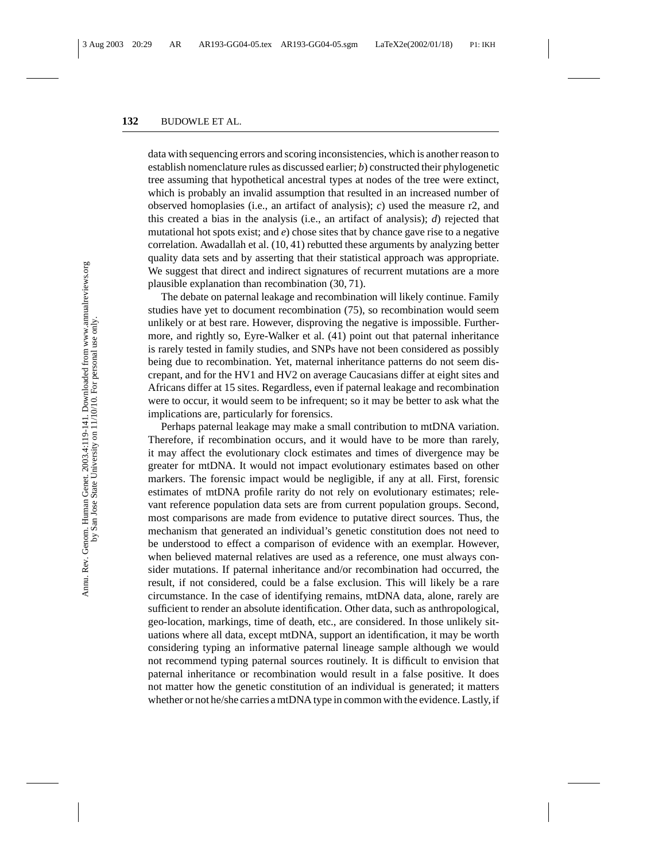data with sequencing errors and scoring inconsistencies, which is another reason to establish nomenclature rules as discussed earlier; *b*) constructed their phylogenetic tree assuming that hypothetical ancestral types at nodes of the tree were extinct, which is probably an invalid assumption that resulted in an increased number of observed homoplasies (i.e., an artifact of analysis); *c*) used the measure r2, and this created a bias in the analysis (i.e., an artifact of analysis); *d*) rejected that mutational hot spots exist; and *e*) chose sites that by chance gave rise to a negative correlation. Awadallah et al. (10, 41) rebutted these arguments by analyzing better quality data sets and by asserting that their statistical approach was appropriate. We suggest that direct and indirect signatures of recurrent mutations are a more plausible explanation than recombination (30, 71).

The debate on paternal leakage and recombination will likely continue. Family studies have yet to document recombination (75), so recombination would seem unlikely or at best rare. However, disproving the negative is impossible. Furthermore, and rightly so, Eyre-Walker et al. (41) point out that paternal inheritance is rarely tested in family studies, and SNPs have not been considered as possibly being due to recombination. Yet, maternal inheritance patterns do not seem discrepant, and for the HV1 and HV2 on average Caucasians differ at eight sites and Africans differ at 15 sites. Regardless, even if paternal leakage and recombination were to occur, it would seem to be infrequent; so it may be better to ask what the implications are, particularly for forensics.

Perhaps paternal leakage may make a small contribution to mtDNA variation. Therefore, if recombination occurs, and it would have to be more than rarely, it may affect the evolutionary clock estimates and times of divergence may be greater for mtDNA. It would not impact evolutionary estimates based on other markers. The forensic impact would be negligible, if any at all. First, forensic estimates of mtDNA profile rarity do not rely on evolutionary estimates; relevant reference population data sets are from current population groups. Second, most comparisons are made from evidence to putative direct sources. Thus, the mechanism that generated an individual's genetic constitution does not need to be understood to effect a comparison of evidence with an exemplar. However, when believed maternal relatives are used as a reference, one must always consider mutations. If paternal inheritance and/or recombination had occurred, the result, if not considered, could be a false exclusion. This will likely be a rare circumstance. In the case of identifying remains, mtDNA data, alone, rarely are sufficient to render an absolute identification. Other data, such as anthropological, geo-location, markings, time of death, etc., are considered. In those unlikely situations where all data, except mtDNA, support an identification, it may be worth considering typing an informative paternal lineage sample although we would not recommend typing paternal sources routinely. It is difficult to envision that paternal inheritance or recombination would result in a false positive. It does not matter how the genetic constitution of an individual is generated; it matters whether or not he/she carries a mtDNA type in common with the evidence. Lastly, if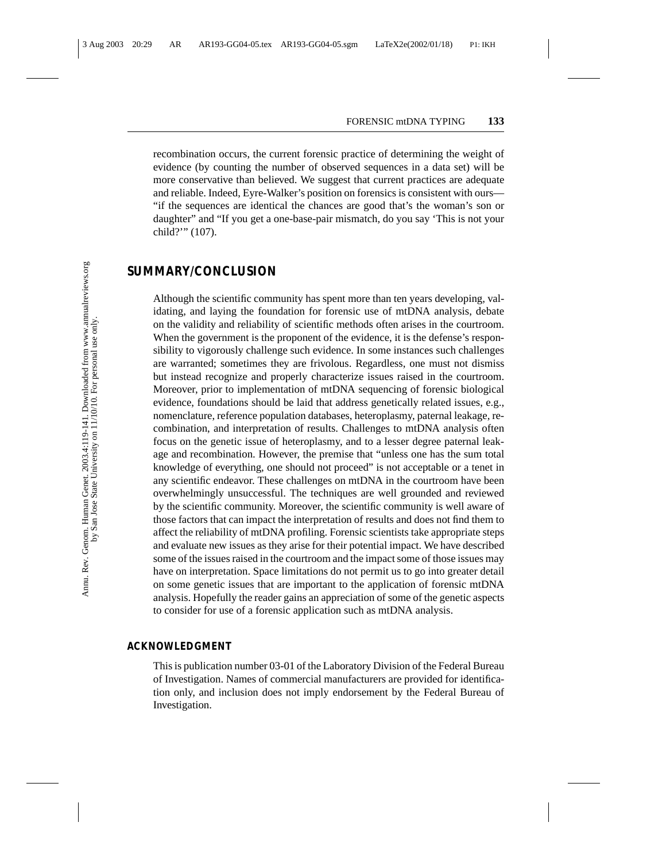recombination occurs, the current forensic practice of determining the weight of evidence (by counting the number of observed sequences in a data set) will be more conservative than believed. We suggest that current practices are adequate and reliable. Indeed, Eyre-Walker's position on forensics is consistent with ours— "if the sequences are identical the chances are good that's the woman's son or daughter" and "If you get a one-base-pair mismatch, do you say 'This is not your child?'" (107).

### **SUMMARY/CONCLUSION**

Although the scientific community has spent more than ten years developing, validating, and laying the foundation for forensic use of mtDNA analysis, debate on the validity and reliability of scientific methods often arises in the courtroom. When the government is the proponent of the evidence, it is the defense's responsibility to vigorously challenge such evidence. In some instances such challenges are warranted; sometimes they are frivolous. Regardless, one must not dismiss but instead recognize and properly characterize issues raised in the courtroom. Moreover, prior to implementation of mtDNA sequencing of forensic biological evidence, foundations should be laid that address genetically related issues, e.g., nomenclature, reference population databases, heteroplasmy, paternal leakage, recombination, and interpretation of results. Challenges to mtDNA analysis often focus on the genetic issue of heteroplasmy, and to a lesser degree paternal leakage and recombination. However, the premise that "unless one has the sum total knowledge of everything, one should not proceed" is not acceptable or a tenet in any scientific endeavor. These challenges on mtDNA in the courtroom have been overwhelmingly unsuccessful. The techniques are well grounded and reviewed by the scientific community. Moreover, the scientific community is well aware of those factors that can impact the interpretation of results and does not find them to affect the reliability of mtDNA profiling. Forensic scientists take appropriate steps and evaluate new issues as they arise for their potential impact. We have described some of the issues raised in the courtroom and the impact some of those issues may have on interpretation. Space limitations do not permit us to go into greater detail on some genetic issues that are important to the application of forensic mtDNA analysis. Hopefully the reader gains an appreciation of some of the genetic aspects to consider for use of a forensic application such as mtDNA analysis.

#### **ACKNOWLEDGMENT**

This is publication number 03-01 of the Laboratory Division of the Federal Bureau of Investigation. Names of commercial manufacturers are provided for identification only, and inclusion does not imply endorsement by the Federal Bureau of Investigation.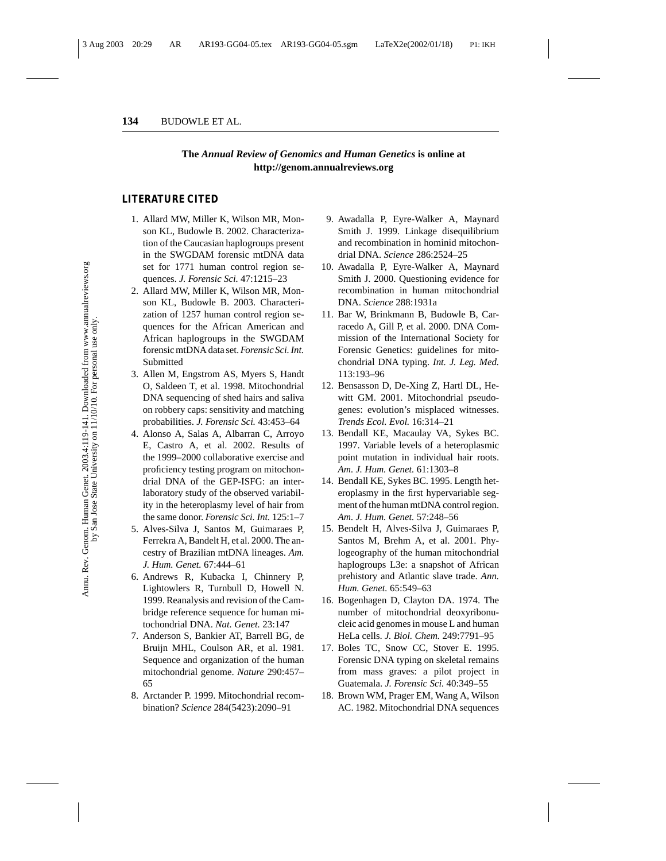#### **The** *Annual Review of Genomics and Human Genetics* **is online at http://genom.annualreviews.org**

#### **LITERATURE CITED**

- 1. Allard MW, Miller K, Wilson MR, Monson KL, Budowle B. 2002. Characterization of the Caucasian haplogroups present in the SWGDAM forensic mtDNA data set for 1771 human control region sequences. *J. Forensic Sci.* 47:1215–23
- 2. Allard MW, Miller K, Wilson MR, Monson KL, Budowle B. 2003. Characterization of 1257 human control region sequences for the African American and African haplogroups in the SWGDAM forensic mtDNA data set.*Forensic Sci. Int.* **Submitted**
- 3. Allen M, Engstrom AS, Myers S, Handt O, Saldeen T, et al. 1998. Mitochondrial DNA sequencing of shed hairs and saliva on robbery caps: sensitivity and matching probabilities. *J. Forensic Sci.* 43:453–64
- 4. Alonso A, Salas A, Albarran C, Arroyo E, Castro A, et al. 2002. Results of the 1999–2000 collaborative exercise and proficiency testing program on mitochondrial DNA of the GEP-ISFG: an interlaboratory study of the observed variability in the heteroplasmy level of hair from the same donor. *Forensic Sci. Int.* 125:1–7
- 5. Alves-Silva J, Santos M, Guimaraes P, Ferrekra A, Bandelt H, et al. 2000. The ancestry of Brazilian mtDNA lineages. *Am. J. Hum. Genet.* 67:444–61
- 6. Andrews R, Kubacka I, Chinnery P, Lightowlers R, Turnbull D, Howell N. 1999. Reanalysis and revision of the Cambridge reference sequence for human mitochondrial DNA. *Nat. Genet.* 23:147
- 7. Anderson S, Bankier AT, Barrell BG, de Bruijn MHL, Coulson AR, et al. 1981. Sequence and organization of the human mitochondrial genome. *Nature* 290:457– 65
- 8. Arctander P. 1999. Mitochondrial recombination? *Science* 284(5423):2090–91
- 9. Awadalla P, Eyre-Walker A, Maynard Smith J. 1999. Linkage disequilibrium and recombination in hominid mitochondrial DNA. *Science* 286:2524–25
- 10. Awadalla P, Eyre-Walker A, Maynard Smith J. 2000. Questioning evidence for recombination in human mitochondrial DNA. *Science* 288:1931a
- 11. Bar W, Brinkmann B, Budowle B, Carracedo A, Gill P, et al. 2000. DNA Commission of the International Society for Forensic Genetics: guidelines for mitochondrial DNA typing. *Int. J. Leg. Med.* 113:193–96
- 12. Bensasson D, De-Xing Z, Hartl DL, Hewitt GM. 2001. Mitochondrial pseudogenes: evolution's misplaced witnesses. *Trends Ecol. Evol.* 16:314–21
- 13. Bendall KE, Macaulay VA, Sykes BC. 1997. Variable levels of a heteroplasmic point mutation in individual hair roots. *Am. J. Hum. Genet.* 61:1303–8
- 14. Bendall KE, Sykes BC. 1995. Length heteroplasmy in the first hypervariable segment of the human mtDNA control region. *Am. J. Hum. Genet.* 57:248–56
- 15. Bendelt H, Alves-Silva J, Guimaraes P, Santos M, Brehm A, et al. 2001. Phylogeography of the human mitochondrial haplogroups L3e: a snapshot of African prehistory and Atlantic slave trade. *Ann. Hum. Genet.* 65:549–63
- 16. Bogenhagen D, Clayton DA. 1974. The number of mitochondrial deoxyribonucleic acid genomes in mouse L and human HeLa cells. *J. Biol. Chem.* 249:7791–95
- 17. Boles TC, Snow CC, Stover E. 1995. Forensic DNA typing on skeletal remains from mass graves: a pilot project in Guatemala. *J. Forensic Sci.* 40:349–55
- 18. Brown WM, Prager EM, Wang A, Wilson AC. 1982. Mitochondrial DNA sequences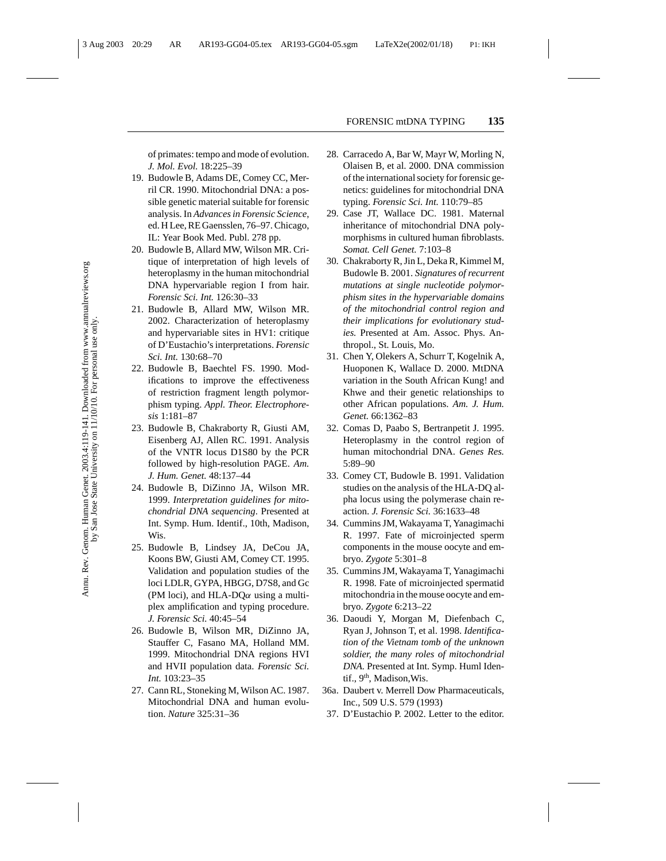of primates: tempo and mode of evolution. *J. Mol. Evol.* 18:225–39

- 19. Budowle B, Adams DE, Comey CC, Merril CR. 1990. Mitochondrial DNA: a possible genetic material suitable for forensic analysis. In *Advances in Forensic Science*, ed. H Lee, RE Gaensslen, 76–97. Chicago, IL: Year Book Med. Publ. 278 pp.
- 20. Budowle B, Allard MW, Wilson MR. Critique of interpretation of high levels of heteroplasmy in the human mitochondrial DNA hypervariable region I from hair. *Forensic Sci. Int.* 126:30–33
- 21. Budowle B, Allard MW, Wilson MR. 2002. Characterization of heteroplasmy and hypervariable sites in HV1: critique of D'Eustachio's interpretations. *Forensic Sci. Int.* 130:68–70
- 22. Budowle B, Baechtel FS. 1990. Modifications to improve the effectiveness of restriction fragment length polymorphism typing. *Appl. Theor. Electrophoresis* 1:181–87
- 23. Budowle B, Chakraborty R, Giusti AM, Eisenberg AJ, Allen RC. 1991. Analysis of the VNTR locus D1S80 by the PCR followed by high-resolution PAGE. *Am. J. Hum. Genet.* 48:137–44
- 24. Budowle B, DiZinno JA, Wilson MR. 1999. *Interpretation guidelines for mitochondrial DNA sequencing*. Presented at Int. Symp. Hum. Identif., 10th, Madison, Wis.
- 25. Budowle B, Lindsey JA, DeCou JA, Koons BW, Giusti AM, Comey CT. 1995. Validation and population studies of the loci LDLR, GYPA, HBGG, D7S8, and Gc (PM loci), and HLA-DQ $\alpha$  using a multiplex amplification and typing procedure. *J. Forensic Sci.* 40:45–54
- 26. Budowle B, Wilson MR, DiZinno JA, Stauffer C, Fasano MA, Holland MM. 1999. Mitochondrial DNA regions HVI and HVII population data. *Forensic Sci. Int.* 103:23–35
- 27. Cann RL, Stoneking M, Wilson AC. 1987. Mitochondrial DNA and human evolution. *Nature* 325:31–36
- 28. Carracedo A, Bar W, Mayr W, Morling N, Olaisen B, et al. 2000. DNA commission of the international society for forensic genetics: guidelines for mitochondrial DNA typing. *Forensic Sci. Int.* 110:79–85
- 29. Case JT, Wallace DC. 1981. Maternal inheritance of mitochondrial DNA polymorphisms in cultured human fibroblasts. *Somat. Cell Genet.* 7:103–8
- 30. Chakraborty R, Jin L, Deka R, Kimmel M, Budowle B. 2001. *Signatures of recurrent mutations at single nucleotide polymorphism sites in the hypervariable domains of the mitochondrial control region and their implications for evolutionary studies.* Presented at Am. Assoc. Phys. Anthropol., St. Louis, Mo.
- 31. Chen Y, Olekers A, Schurr T, Kogelnik A, Huoponen K, Wallace D. 2000. MtDNA variation in the South African Kung! and Khwe and their genetic relationships to other African populations. *Am. J. Hum. Genet.* 66:1362–83
- 32. Comas D, Paabo S, Bertranpetit J. 1995. Heteroplasmy in the control region of human mitochondrial DNA. *Genes Res.* 5:89–90
- 33. Comey CT, Budowle B. 1991. Validation studies on the analysis of the HLA-DQ alpha locus using the polymerase chain reaction. *J. Forensic Sci.* 36:1633–48
- 34. Cummins JM, Wakayama T, Yanagimachi R. 1997. Fate of microinjected sperm components in the mouse oocyte and embryo. *Zygote* 5:301–8
- 35. Cummins JM, Wakayama T, Yanagimachi R. 1998. Fate of microinjected spermatid mitochondria in the mouse oocyte and embryo. *Zygote* 6:213–22
- 36. Daoudi Y, Morgan M, Diefenbach C, Ryan J, Johnson T, et al. 1998. *Identification of the Vietnam tomb of the unknown soldier, the many roles of mitochondrial DNA.* Presented at Int. Symp. Huml Identif.,  $9<sup>th</sup>$ , Madison, Wis.
- 36a. Daubert v. Merrell Dow Pharmaceuticals, Inc., 509 U.S. 579 (1993)
- 37. D'Eustachio P. 2002. Letter to the editor.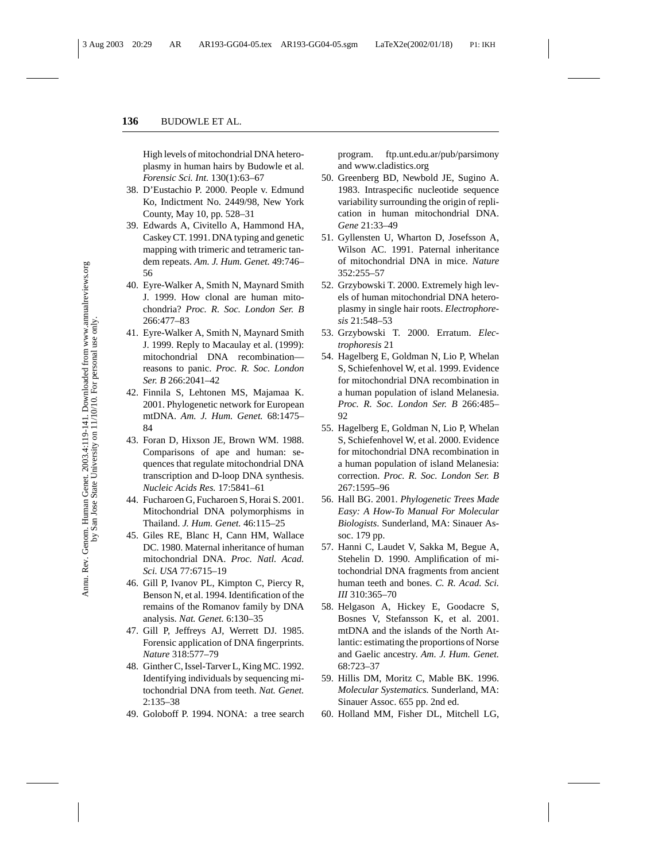High levels of mitochondrial DNA heteroplasmy in human hairs by Budowle et al. *Forensic Sci. Int.* 130(1):63–67

- 38. D'Eustachio P. 2000. People v. Edmund Ko, Indictment No. 2449/98, New York County, May 10, pp. 528–31
- 39. Edwards A, Civitello A, Hammond HA, Caskey CT. 1991. DNA typing and genetic mapping with trimeric and tetrameric tandem repeats. *Am. J. Hum. Genet.* 49:746– 56
- 40. Eyre-Walker A, Smith N, Maynard Smith J. 1999. How clonal are human mitochondria? *Proc. R. Soc. London Ser. B* 266:477–83
- 41. Eyre-Walker A, Smith N, Maynard Smith J. 1999. Reply to Macaulay et al. (1999): mitochondrial DNA recombination reasons to panic. *Proc. R. Soc. London Ser. B* 266:2041–42
- 42. Finnila S, Lehtonen MS, Majamaa K. 2001. Phylogenetic network for European mtDNA. *Am. J. Hum. Genet.* 68:1475– 84
- 43. Foran D, Hixson JE, Brown WM. 1988. Comparisons of ape and human: sequences that regulate mitochondrial DNA transcription and D-loop DNA synthesis. *Nucleic Acids Res.* 17:5841–61
- 44. Fucharoen G, Fucharoen S, Horai S. 2001. Mitochondrial DNA polymorphisms in Thailand. *J. Hum. Genet.* 46:115–25
- 45. Giles RE, Blanc H, Cann HM, Wallace DC. 1980. Maternal inheritance of human mitochondrial DNA. *Proc. Natl. Acad. Sci. USA* 77:6715–19
- 46. Gill P, Ivanov PL, Kimpton C, Piercy R, Benson N, et al. 1994. Identification of the remains of the Romanov family by DNA analysis. *Nat. Genet.* 6:130–35
- 47. Gill P, Jeffreys AJ, Werrett DJ. 1985. Forensic application of DNA fingerprints. *Nature* 318:577–79
- 48. Ginther C, Issel-Tarver L, King MC. 1992. Identifying individuals by sequencing mitochondrial DNA from teeth. *Nat. Genet.* 2:135–38
- 49. Goloboff P. 1994. NONA: a tree search

program. ftp.unt.edu.ar/pub/parsimony and www.cladistics.org

- 50. Greenberg BD, Newbold JE, Sugino A. 1983. Intraspecific nucleotide sequence variability surrounding the origin of replication in human mitochondrial DNA. *Gene* 21:33–49
- 51. Gyllensten U, Wharton D, Josefsson A, Wilson AC. 1991. Paternal inheritance of mitochondrial DNA in mice. *Nature* 352:255–57
- 52. Grzybowski T. 2000. Extremely high levels of human mitochondrial DNA heteroplasmy in single hair roots. *Electrophoresis* 21:548–53
- 53. Grzybowski T. 2000. Erratum. *Electrophoresis* 21
- 54. Hagelberg E, Goldman N, Lio P, Whelan S, Schiefenhovel W, et al. 1999. Evidence for mitochondrial DNA recombination in a human population of island Melanesia. *Proc. R. Soc. London Ser. B* 266:485– 92
- 55. Hagelberg E, Goldman N, Lio P, Whelan S, Schiefenhovel W, et al. 2000. Evidence for mitochondrial DNA recombination in a human population of island Melanesia: correction. *Proc. R. Soc. London Ser. B* 267:1595–96
- 56. Hall BG. 2001. *Phylogenetic Trees Made Easy: A How-To Manual For Molecular Biologists*. Sunderland, MA: Sinauer Assoc. 179 pp.
- 57. Hanni C, Laudet V, Sakka M, Begue A, Stehelin D. 1990. Amplification of mitochondrial DNA fragments from ancient human teeth and bones. *C. R. Acad. Sci. III* 310:365–70
- 58. Helgason A, Hickey E, Goodacre S, Bosnes V, Stefansson K, et al. 2001. mtDNA and the islands of the North Atlantic: estimating the proportions of Norse and Gaelic ancestry. *Am. J. Hum. Genet.* 68:723–37
- 59. Hillis DM, Moritz C, Mable BK. 1996. *Molecular Systematics.* Sunderland, MA: Sinauer Assoc. 655 pp. 2nd ed.
- 60. Holland MM, Fisher DL, Mitchell LG,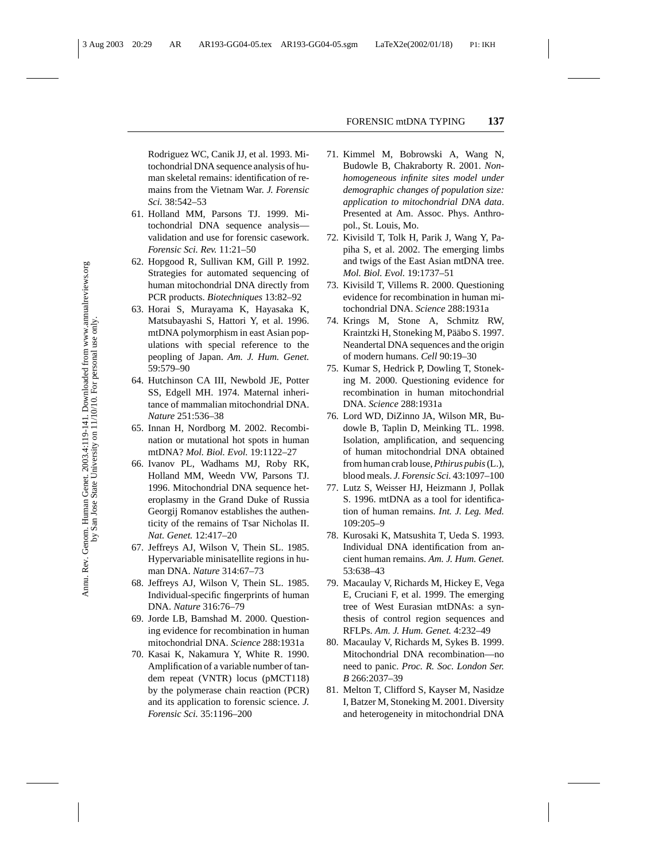Rodriguez WC, Canik JJ, et al. 1993. Mitochondrial DNA sequence analysis of human skeletal remains: identification of remains from the Vietnam War. *J. Forensic Sci.* 38:542–53

- 61. Holland MM, Parsons TJ. 1999. Mitochondrial DNA sequence analysis validation and use for forensic casework. *Forensic Sci. Rev.* 11:21–50
- 62. Hopgood R, Sullivan KM, Gill P. 1992. Strategies for automated sequencing of human mitochondrial DNA directly from PCR products. *Biotechniques* 13:82–92
- 63. Horai S, Murayama K, Hayasaka K, Matsubayashi S, Hattori Y, et al. 1996. mtDNA polymorphism in east Asian populations with special reference to the peopling of Japan. *Am. J. Hum. Genet.* 59:579–90
- 64. Hutchinson CA III, Newbold JE, Potter SS, Edgell MH. 1974. Maternal inheritance of mammalian mitochondrial DNA. *Nature* 251:536–38
- 65. Innan H, Nordborg M. 2002. Recombination or mutational hot spots in human mtDNA? *Mol. Biol. Evol.* 19:1122–27
- 66. Ivanov PL, Wadhams MJ, Roby RK, Holland MM, Weedn VW, Parsons TJ. 1996. Mitochondrial DNA sequence heteroplasmy in the Grand Duke of Russia Georgij Romanov establishes the authenticity of the remains of Tsar Nicholas II. *Nat. Genet.* 12:417–20
- 67. Jeffreys AJ, Wilson V, Thein SL. 1985. Hypervariable minisatellite regions in human DNA. *Nature* 314:67–73
- 68. Jeffreys AJ, Wilson V, Thein SL. 1985. Individual-specific fingerprints of human DNA. *Nature* 316:76–79
- 69. Jorde LB, Bamshad M. 2000. Questioning evidence for recombination in human mitochondrial DNA. *Science* 288:1931a
- 70. Kasai K, Nakamura Y, White R. 1990. Amplification of a variable number of tandem repeat (VNTR) locus (pMCT118) by the polymerase chain reaction (PCR) and its application to forensic science. *J. Forensic Sci.* 35:1196–200
- 71. Kimmel M, Bobrowski A, Wang N, Budowle B, Chakraborty R. 2001. *Nonhomogeneous infinite sites model under demographic changes of population size: application to mitochondrial DNA data*. Presented at Am. Assoc. Phys. Anthropol., St. Louis, Mo.
- 72. Kivisild T, Tolk H, Parik J, Wang Y, Papiha S, et al. 2002. The emerging limbs and twigs of the East Asian mtDNA tree. *Mol. Biol. Evol.* 19:1737–51
- 73. Kivisild T, Villems R. 2000. Questioning evidence for recombination in human mitochondrial DNA. *Science* 288:1931a
- 74. Krings M, Stone A, Schmitz RW, Kraintzki H, Stoneking M, Pääbo S. 1997. Neandertal DNA sequences and the origin of modern humans. *Cell* 90:19–30
- 75. Kumar S, Hedrick P, Dowling T, Stoneking M. 2000. Questioning evidence for recombination in human mitochondrial DNA. *Science* 288:1931a
- 76. Lord WD, DiZinno JA, Wilson MR, Budowle B, Taplin D, Meinking TL. 1998. Isolation, amplification, and sequencing of human mitochondrial DNA obtained from human crab louse,*Pthirus pubis*(L.), blood meals. *J. Forensic Sci.* 43:1097–100
- 77. Lutz S, Weisser HJ, Heizmann J, Pollak S. 1996. mtDNA as a tool for identification of human remains. *Int. J. Leg. Med.* 109:205–9
- 78. Kurosaki K, Matsushita T, Ueda S. 1993. Individual DNA identification from ancient human remains. *Am. J. Hum. Genet.* 53:638–43
- 79. Macaulay V, Richards M, Hickey E, Vega E, Cruciani F, et al. 1999. The emerging tree of West Eurasian mtDNAs: a synthesis of control region sequences and RFLPs. *Am. J. Hum. Genet.* 4:232–49
- 80. Macaulay V, Richards M, Sykes B. 1999. Mitochondrial DNA recombination—no need to panic. *Proc. R. Soc. London Ser. B* 266:2037–39
- 81. Melton T, Clifford S, Kayser M, Nasidze I, Batzer M, Stoneking M. 2001. Diversity and heterogeneity in mitochondrial DNA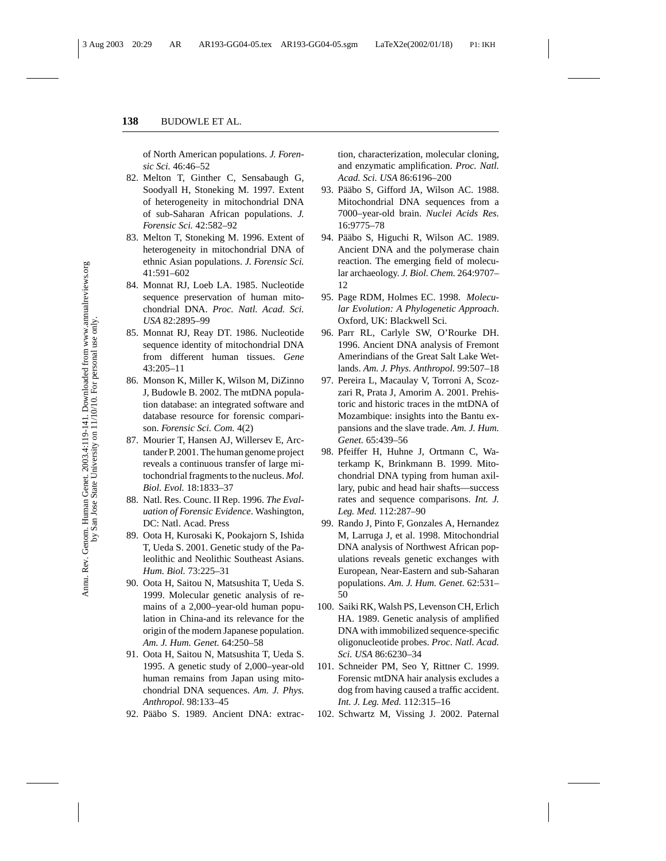of North American populations. *J. Forensic Sci.* 46:46–52

- 82. Melton T, Ginther C, Sensabaugh G, Soodyall H, Stoneking M. 1997. Extent of heterogeneity in mitochondrial DNA of sub-Saharan African populations. *J. Forensic Sci.* 42:582–92
- 83. Melton T, Stoneking M. 1996. Extent of heterogeneity in mitochondrial DNA of ethnic Asian populations. *J. Forensic Sci.* 41:591–602
- 84. Monnat RJ, Loeb LA. 1985. Nucleotide sequence preservation of human mitochondrial DNA. *Proc. Natl. Acad. Sci. USA* 82:2895–99
- 85. Monnat RJ, Reay DT. 1986. Nucleotide sequence identity of mitochondrial DNA from different human tissues. *Gene* 43:205–11
- 86. Monson K, Miller K, Wilson M, DiZinno J, Budowle B. 2002. The mtDNA population database: an integrated software and database resource for forensic comparison. *Forensic Sci. Com.* 4(2)
- 87. Mourier T, Hansen AJ, Willersev E, Arctander P. 2001. The human genome project reveals a continuous transfer of large mitochondrial fragments to the nucleus. *Mol. Biol. Evol.* 18:1833–37
- 88. Natl. Res. Counc. II Rep. 1996. *The Evaluation of Forensic Evidence*. Washington, DC: Natl. Acad. Press
- 89. Oota H, Kurosaki K, Pookajorn S, Ishida T, Ueda S. 2001. Genetic study of the Paleolithic and Neolithic Southeast Asians. *Hum. Biol.* 73:225–31
- 90. Oota H, Saitou N, Matsushita T, Ueda S. 1999. Molecular genetic analysis of remains of a 2,000–year-old human population in China-and its relevance for the origin of the modern Japanese population. *Am. J. Hum. Genet.* 64:250–58
- 91. Oota H, Saitou N, Matsushita T, Ueda S. 1995. A genetic study of 2,000–year-old human remains from Japan using mitochondrial DNA sequences. *Am. J. Phys. Anthropol.* 98:133–45
- 92. Pääbo S. 1989. Ancient DNA: extrac-

tion, characterization, molecular cloning, and enzymatic amplification. *Proc. Natl. Acad. Sci. USA* 86:6196–200

- 93. Pääbo S, Gifford JA, Wilson AC. 1988. Mitochondrial DNA sequences from a 7000–year-old brain. *Nuclei Acids Res.* 16:9775–78
- 94. Pääbo S, Higuchi R, Wilson AC. 1989. Ancient DNA and the polymerase chain reaction. The emerging field of molecular archaeology. *J. Biol. Chem.* 264:9707– 12
- 95. Page RDM, Holmes EC. 1998. *Molecular Evolution: A Phylogenetic Approach*. Oxford, UK: Blackwell Sci.
- 96. Parr RL, Carlyle SW, O'Rourke DH. 1996. Ancient DNA analysis of Fremont Amerindians of the Great Salt Lake Wetlands. *Am. J. Phys. Anthropol.* 99:507–18
- 97. Pereira L, Macaulay V, Torroni A, Scozzari R, Prata J, Amorim A. 2001. Prehistoric and historic traces in the mtDNA of Mozambique: insights into the Bantu expansions and the slave trade. *Am. J. Hum. Genet.* 65:439–56
- 98. Pfeiffer H, Huhne J, Ortmann C, Waterkamp K, Brinkmann B. 1999. Mitochondrial DNA typing from human axillary, pubic and head hair shafts—success rates and sequence comparisons. *Int. J. Leg. Med.* 112:287–90
- 99. Rando J, Pinto F, Gonzales A, Hernandez M, Larruga J, et al. 1998. Mitochondrial DNA analysis of Northwest African populations reveals genetic exchanges with European, Near-Eastern and sub-Saharan populations. *Am. J. Hum. Genet.* 62:531– 50
- 100. Saiki RK, Walsh PS, Levenson CH, Erlich HA. 1989. Genetic analysis of amplified DNA with immobilized sequence-specific oligonucleotide probes. *Proc. Natl. Acad. Sci. USA* 86:6230–34
- 101. Schneider PM, Seo Y, Rittner C. 1999. Forensic mtDNA hair analysis excludes a dog from having caused a traffic accident. *Int. J. Leg. Med.* 112:315–16
- 102. Schwartz M, Vissing J. 2002. Paternal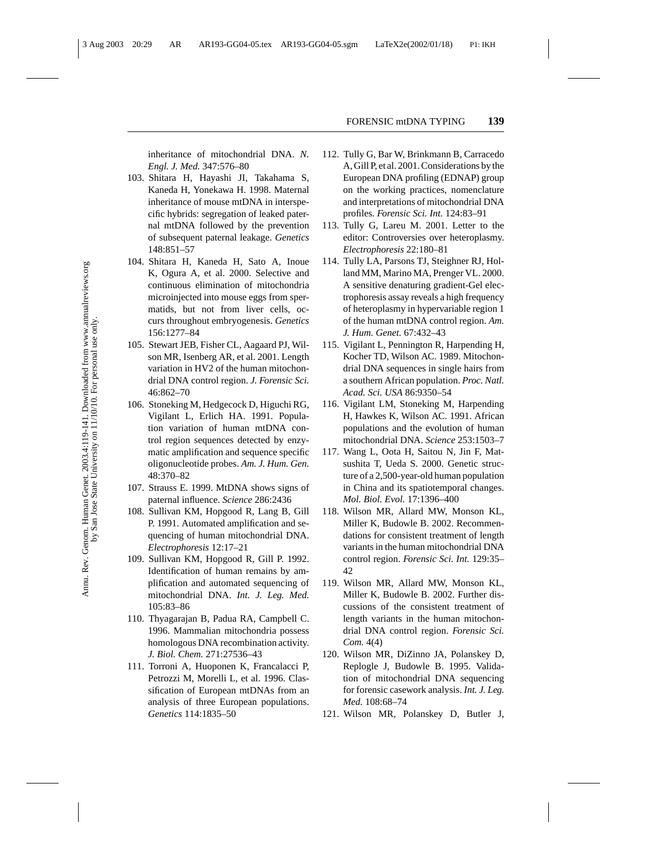inheritance of mitochondrial DNA. *N. Engl. J. Med.* 347:576–80

- 103. Shitara H, Hayashi JI, Takahama S, Kaneda H, Yonekawa H. 1998. Maternal inheritance of mouse mtDNA in interspecific hybrids: segregation of leaked paternal mtDNA followed by the prevention of subsequent paternal leakage. *Genetics* 148:851–57
- 104. Shitara H, Kaneda H, Sato A, Inoue K, Ogura A, et al. 2000. Selective and continuous elimination of mitochondria microinjected into mouse eggs from spermatids, but not from liver cells, occurs throughout embryogenesis. *Genetics* 156:1277–84
- 105. Stewart JEB, Fisher CL, Aagaard PJ, Wilson MR, Isenberg AR, et al. 2001. Length variation in HV2 of the human mitochondrial DNA control region. *J. Forensic Sci.* 46:862–70
- 106. Stoneking M, Hedgecock D, Higuchi RG, Vigilant L, Erlich HA. 1991. Population variation of human mtDNA control region sequences detected by enzymatic amplification and sequence specific oligonucleotide probes. *Am. J. Hum. Gen.* 48:370–82
- 107. Strauss E. 1999. MtDNA shows signs of paternal influence. *Science* 286:2436
- 108. Sullivan KM, Hopgood R, Lang B, Gill P. 1991. Automated amplification and sequencing of human mitochondrial DNA. *Electrophoresis* 12:17–21
- 109. Sullivan KM, Hopgood R, Gill P. 1992. Identification of human remains by amplification and automated sequencing of mitochondrial DNA. *Int. J. Leg. Med.* 105:83–86
- 110. Thyagarajan B, Padua RA, Campbell C. 1996. Mammalian mitochondria possess homologous DNA recombination activity. *J. Biol. Chem.* 271:27536–43
- 111. Torroni A, Huoponen K, Francalacci P, Petrozzi M, Morelli L, et al. 1996. Classification of European mtDNAs from an analysis of three European populations. *Genetics* 114:1835–50
- 112. Tully G, Bar W, Brinkmann B, Carracedo A, Gill P, et al. 2001. Considerations by the European DNA profiling (EDNAP) group on the working practices, nomenclature and interpretations of mitochondrial DNA profiles. *Forensic Sci. Int.* 124:83–91
- 113. Tully G, Lareu M. 2001. Letter to the editor: Controversies over heteroplasmy. *Electrophoresis* 22:180–81
- 114. Tully LA, Parsons TJ, Steighner RJ, Holland MM, Marino MA, Prenger VL. 2000. A sensitive denaturing gradient-Gel electrophoresis assay reveals a high frequency of heteroplasmy in hypervariable region 1 of the human mtDNA control region. *Am. J. Hum. Genet.* 67:432–43
- 115. Vigilant L, Pennington R, Harpending H, Kocher TD, Wilson AC. 1989. Mitochondrial DNA sequences in single hairs from a southern African population. *Proc. Natl. Acad. Sci. USA* 86:9350–54
- 116. Vigilant LM, Stoneking M, Harpending H, Hawkes K, Wilson AC. 1991. African populations and the evolution of human mitochondrial DNA. *Science* 253:1503–7
- 117. Wang L, Oota H, Saitou N, Jin F, Matsushita T, Ueda S. 2000. Genetic structure of a 2,500-year-old human population in China and its spatiotemporal changes. *Mol. Biol. Evol.* 17:1396–400
- 118. Wilson MR, Allard MW, Monson KL, Miller K, Budowle B. 2002. Recommendations for consistent treatment of length variants in the human mitochondrial DNA control region. *Forensic Sci. Int.* 129:35– 42
- 119. Wilson MR, Allard MW, Monson KL, Miller K, Budowle B. 2002. Further discussions of the consistent treatment of length variants in the human mitochondrial DNA control region. *Forensic Sci. Com.* 4(4)
- 120. Wilson MR, DiZinno JA, Polanskey D, Replogle J, Budowle B. 1995. Validation of mitochondrial DNA sequencing for forensic casework analysis. *Int. J. Leg. Med.* 108:68–74
- 121. Wilson MR, Polanskey D, Butler J,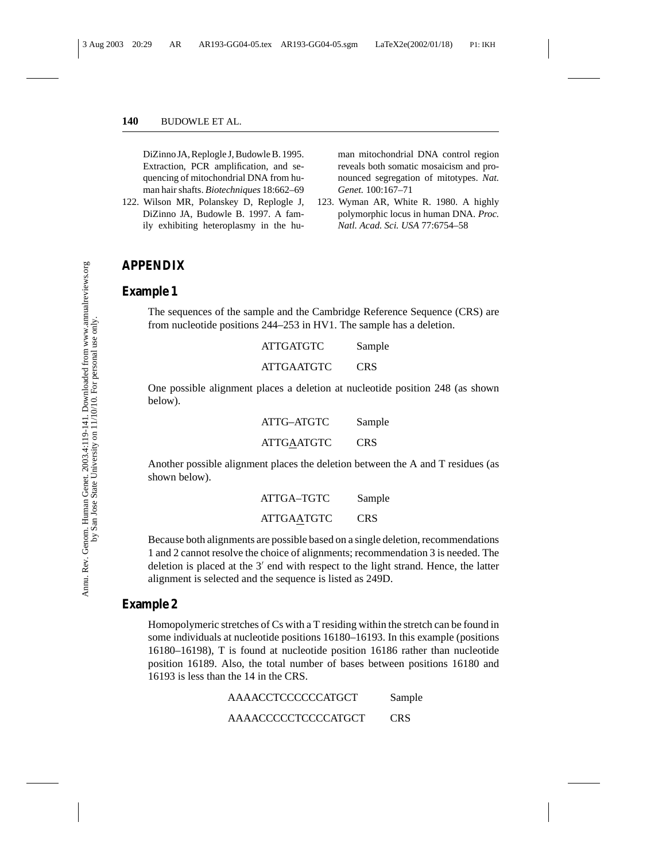DiZinno JA, Replogle J, Budowle B. 1995. Extraction, PCR amplification, and sequencing of mitochondrial DNA from human hair shafts. *Biotechniques* 18:662–69

122. Wilson MR, Polanskey D, Replogle J, DiZinno JA, Budowle B. 1997. A family exhibiting heteroplasmy in the human mitochondrial DNA control region reveals both somatic mosaicism and pronounced segregation of mitotypes. *Nat. Genet.* 100:167–71

123. Wyman AR, White R. 1980. A highly polymorphic locus in human DNA. *Proc. Natl. Acad. Sci. USA* 77:6754–58

#### **APPENDIX**

#### **Example 1**

The sequences of the sample and the Cambridge Reference Sequence (CRS) are from nucleotide positions 244–253 in HV1. The sample has a deletion.

| <b>ATTGATGTC</b>  | Sample     |
|-------------------|------------|
| <b>ATTGAATGTC</b> | <b>CRS</b> |

One possible alignment places a deletion at nucleotide position 248 (as shown below).

| ATTG-ATGTC        | Sample     |
|-------------------|------------|
| <b>ATTGAATGTC</b> | <b>CRS</b> |

Another possible alignment places the deletion between the A and T residues (as shown below).

| ATTGA-TGTC        | Sample     |  |
|-------------------|------------|--|
| <b>ATTGAATGTC</b> | <b>CRS</b> |  |

Because both alignments are possible based on a single deletion, recommendations 1 and 2 cannot resolve the choice of alignments; recommendation 3 is needed. The deletion is placed at the  $3'$  end with respect to the light strand. Hence, the latter alignment is selected and the sequence is listed as 249D.

#### **Example 2**

Homopolymeric stretches of Cs with a T residing within the stretch can be found in some individuals at nucleotide positions 16180–16193. In this example (positions 16180–16198), T is found at nucleotide position 16186 rather than nucleotide position 16189. Also, the total number of bases between positions 16180 and 16193 is less than the 14 in the CRS.

| AAAACCTCCCCCCATGCT  | Sample |
|---------------------|--------|
| AAAACCCCCTCCCCATGCT | CRS    |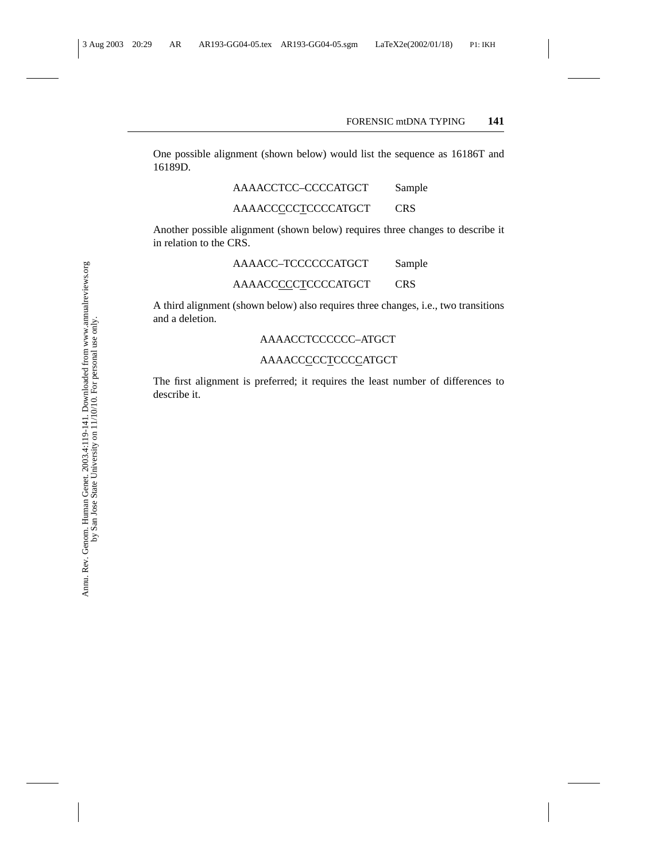One possible alignment (shown below) would list the sequence as 16186T and 16189D.

AAAACCTCC–CCCCATGCT Sample

#### AAAACCCCCTCCCCATGCT CRS

Another possible alignment (shown below) requires three changes to describe it in relation to the CRS.

AAAACC–TCCCCCCATGCT Sample

#### AAAACCCCCTCCCCATGCT CRS

A third alignment (shown below) also requires three changes, i.e., two transitions and a deletion.

#### AAAACCTCCCCCC–ATGCT

#### AAAACCCCCTCCCCATGCT

The first alignment is preferred; it requires the least number of differences to describe it.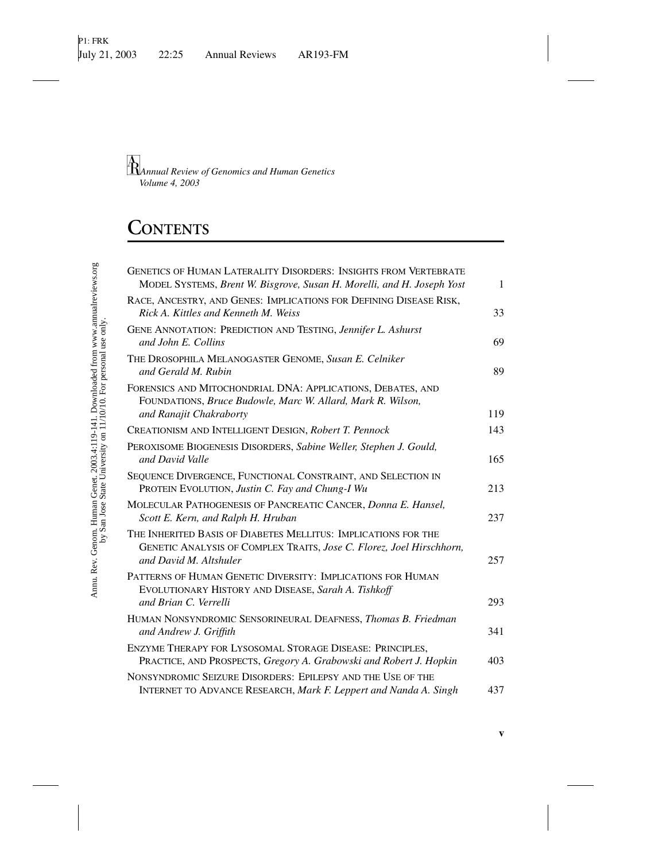# **CONTENTS**

| <b>GENETICS OF HUMAN LATERALITY DISORDERS: INSIGHTS FROM VERTEBRATE</b><br>MODEL SYSTEMS, Brent W. Bisgrove, Susan H. Morelli, and H. Joseph Yost                | $\mathbf{1}$ |
|------------------------------------------------------------------------------------------------------------------------------------------------------------------|--------------|
| RACE, ANCESTRY, AND GENES: IMPLICATIONS FOR DEFINING DISEASE RISK,<br>Rick A. Kittles and Kenneth M. Weiss                                                       | 33           |
| GENE ANNOTATION: PREDICTION AND TESTING, Jennifer L. Ashurst<br>and John E. Collins                                                                              | 69           |
| THE DROSOPHILA MELANOGASTER GENOME, Susan E. Celniker<br>and Gerald M. Rubin                                                                                     | 89           |
| FORENSICS AND MITOCHONDRIAL DNA: APPLICATIONS, DEBATES, AND<br>FOUNDATIONS, Bruce Budowle, Marc W. Allard, Mark R. Wilson,<br>and Ranajit Chakraborty            | 119          |
| CREATIONISM AND INTELLIGENT DESIGN, Robert T. Pennock                                                                                                            | 143          |
|                                                                                                                                                                  |              |
| PEROXISOME BIOGENESIS DISORDERS, Sabine Weller, Stephen J. Gould,<br>and David Valle                                                                             | 165          |
| SEQUENCE DIVERGENCE, FUNCTIONAL CONSTRAINT, AND SELECTION IN<br>PROTEIN EVOLUTION, Justin C. Fay and Chung-I Wu                                                  | 213          |
| MOLECULAR PATHOGENESIS OF PANCREATIC CANCER, Donna E. Hansel,<br>Scott E. Kern, and Ralph H. Hruban                                                              | 237          |
| THE INHERITED BASIS OF DIABETES MELLITUS: IMPLICATIONS FOR THE<br>GENETIC ANALYSIS OF COMPLEX TRAITS, Jose C. Florez, Joel Hirschhorn,<br>and David M. Altshuler | 257          |
| PATTERNS OF HUMAN GENETIC DIVERSITY: IMPLICATIONS FOR HUMAN<br>EVOLUTIONARY HISTORY AND DISEASE, Sarah A. Tishkoff                                               |              |
| and Brian C. Verrelli<br>HUMAN NONSYNDROMIC SENSORINEURAL DEAFNESS, Thomas B. Friedman<br>and Andrew J. Griffith                                                 | 293<br>341   |
| ENZYME THERAPY FOR LYSOSOMAL STORAGE DISEASE: PRINCIPLES,<br>PRACTICE, AND PROSPECTS, Gregory A. Grabowski and Robert J. Hopkin                                  | 403          |
| NONSYNDROMIC SEIZURE DISORDERS: EPILEPSY AND THE USE OF THE<br>INTERNET TO ADVANCE RESEARCH, Mark F. Leppert and Nanda A. Singh                                  | 437          |